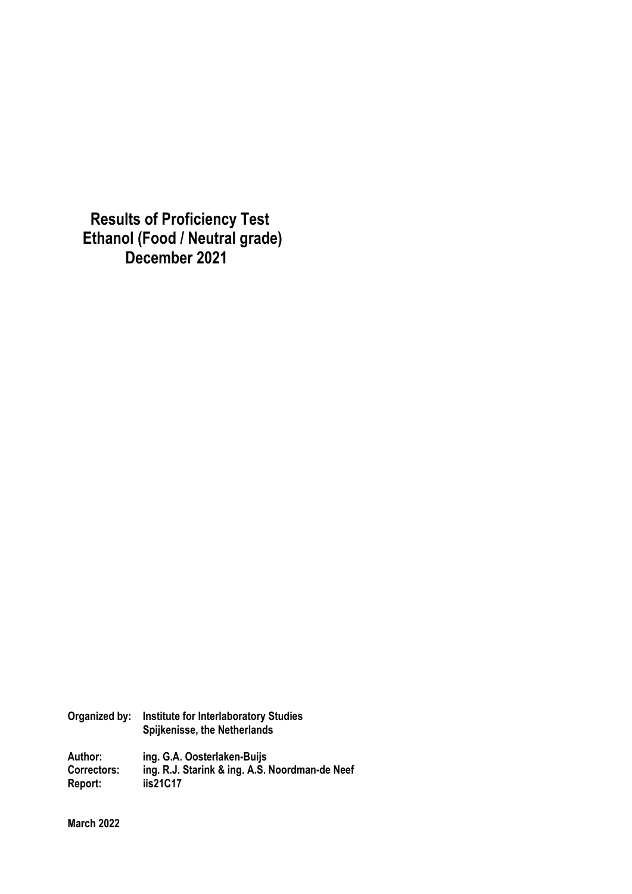**Results of Proficiency Test Ethanol (Food / Neutral grade) December 2021** 

**Organized by: Institute for Interlaboratory Studies Spijkenisse, the Netherlands Author: ing. G.A. Oosterlaken-Buijs** 

**Correctors: ing. R.J. Starink & ing. A.S. Noordman-de Neef Report: iis21C17** 

**March 2022**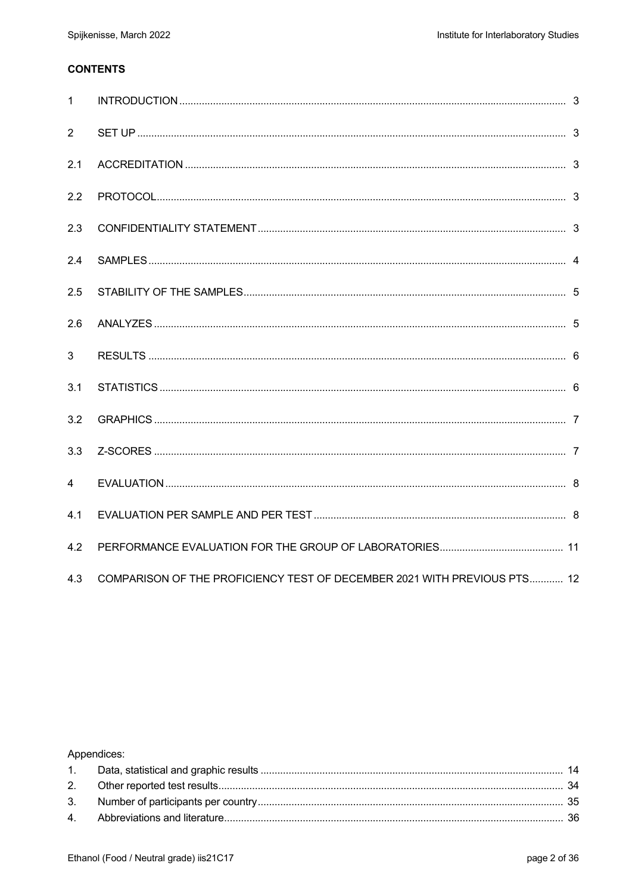## **CONTENTS**

| $\mathbf{1}$   |                                                                          |  |
|----------------|--------------------------------------------------------------------------|--|
| 2              |                                                                          |  |
| 2.1            |                                                                          |  |
| 2.2            |                                                                          |  |
| 2.3            |                                                                          |  |
| 2.4            |                                                                          |  |
| 2.5            |                                                                          |  |
| 2.6            |                                                                          |  |
| 3              |                                                                          |  |
| 3.1            |                                                                          |  |
| 3.2            |                                                                          |  |
| 3.3            |                                                                          |  |
| $\overline{4}$ |                                                                          |  |
| 4.1            |                                                                          |  |
| 4.2            |                                                                          |  |
| 4.3            | COMPARISON OF THE PROFICIENCY TEST OF DECEMBER 2021 WITH PREVIOUS PTS 12 |  |

## Appendices: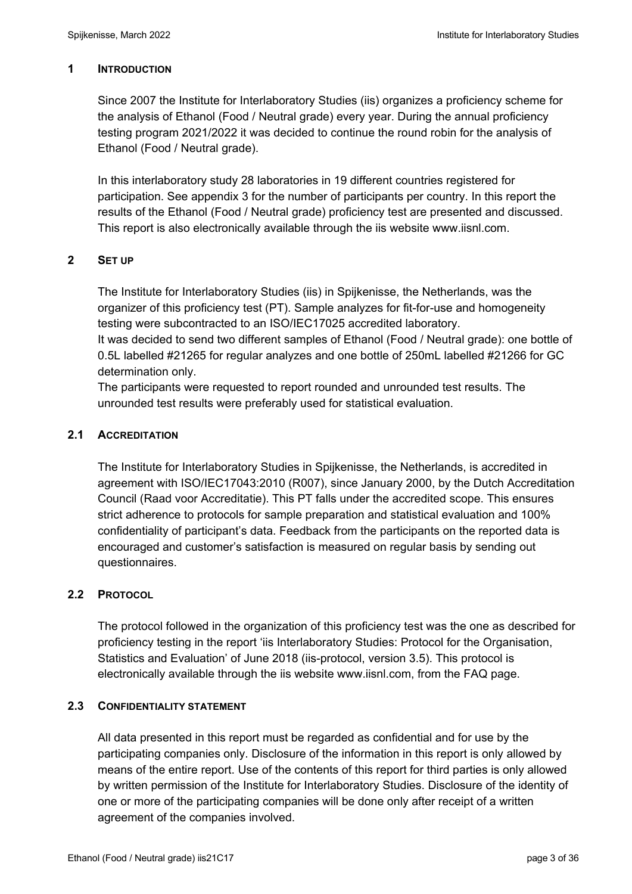### **1 INTRODUCTION**

Since 2007 the Institute for Interlaboratory Studies (iis) organizes a proficiency scheme for the analysis of Ethanol (Food / Neutral grade) every year. During the annual proficiency testing program 2021/2022 it was decided to continue the round robin for the analysis of Ethanol (Food / Neutral grade).

In this interlaboratory study 28 laboratories in 19 different countries registered for participation. See appendix 3 for the number of participants per country. In this report the results of the Ethanol (Food / Neutral grade) proficiency test are presented and discussed. This report is also electronically available through the iis website www.iisnl.com.

### **2 SET UP**

The Institute for Interlaboratory Studies (iis) in Spijkenisse, the Netherlands, was the organizer of this proficiency test (PT). Sample analyzes for fit-for-use and homogeneity testing were subcontracted to an ISO/IEC17025 accredited laboratory.

It was decided to send two different samples of Ethanol (Food / Neutral grade): one bottle of 0.5L labelled #21265 for regular analyzes and one bottle of 250mL labelled #21266 for GC determination only.

The participants were requested to report rounded and unrounded test results. The unrounded test results were preferably used for statistical evaluation.

### **2.1 ACCREDITATION**

The Institute for Interlaboratory Studies in Spijkenisse, the Netherlands, is accredited in agreement with ISO/IEC17043:2010 (R007), since January 2000, by the Dutch Accreditation Council (Raad voor Accreditatie). This PT falls under the accredited scope. This ensures strict adherence to protocols for sample preparation and statistical evaluation and 100% confidentiality of participant's data. Feedback from the participants on the reported data is encouraged and customer's satisfaction is measured on regular basis by sending out questionnaires.

### **2.2 PROTOCOL**

The protocol followed in the organization of this proficiency test was the one as described for proficiency testing in the report 'iis Interlaboratory Studies: Protocol for the Organisation, Statistics and Evaluation' of June 2018 (iis-protocol, version 3.5). This protocol is electronically available through the iis website www.iisnl.com, from the FAQ page.

#### **2.3 CONFIDENTIALITY STATEMENT**

All data presented in this report must be regarded as confidential and for use by the participating companies only. Disclosure of the information in this report is only allowed by means of the entire report. Use of the contents of this report for third parties is only allowed by written permission of the Institute for Interlaboratory Studies. Disclosure of the identity of one or more of the participating companies will be done only after receipt of a written agreement of the companies involved.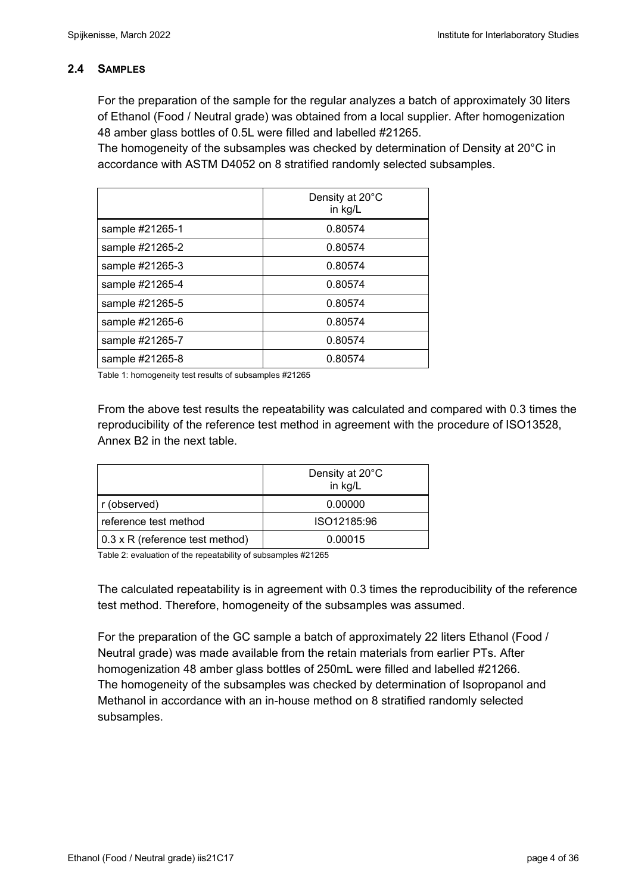### **2.4 SAMPLES**

For the preparation of the sample for the regular analyzes a batch of approximately 30 liters of Ethanol (Food / Neutral grade) was obtained from a local supplier. After homogenization 48 amber glass bottles of 0.5L were filled and labelled #21265.

The homogeneity of the subsamples was checked by determination of Density at 20°C in accordance with ASTM D4052 on 8 stratified randomly selected subsamples.

|                 | Density at 20°C<br>in kg/L |
|-----------------|----------------------------|
| sample #21265-1 | 0.80574                    |
| sample #21265-2 | 0.80574                    |
| sample #21265-3 | 0.80574                    |
| sample #21265-4 | 0.80574                    |
| sample #21265-5 | 0.80574                    |
| sample #21265-6 | 0.80574                    |
| sample #21265-7 | 0.80574                    |
| sample #21265-8 | 0.80574                    |

Table 1: homogeneity test results of subsamples #21265

From the above test results the repeatability was calculated and compared with 0.3 times the reproducibility of the reference test method in agreement with the procedure of ISO13528, Annex B2 in the next table.

|                                 | Density at 20°C<br>in kg/L |
|---------------------------------|----------------------------|
| r (observed)                    | 0.00000                    |
| reference test method           | ISO12185:96                |
| 0.3 x R (reference test method) | 0.00015                    |

Table 2: evaluation of the repeatability of subsamples #21265

The calculated repeatability is in agreement with 0.3 times the reproducibility of the reference test method. Therefore, homogeneity of the subsamples was assumed.

For the preparation of the GC sample a batch of approximately 22 liters Ethanol (Food / Neutral grade) was made available from the retain materials from earlier PTs. After homogenization 48 amber glass bottles of 250mL were filled and labelled #21266. The homogeneity of the subsamples was checked by determination of Isopropanol and Methanol in accordance with an in-house method on 8 stratified randomly selected subsamples.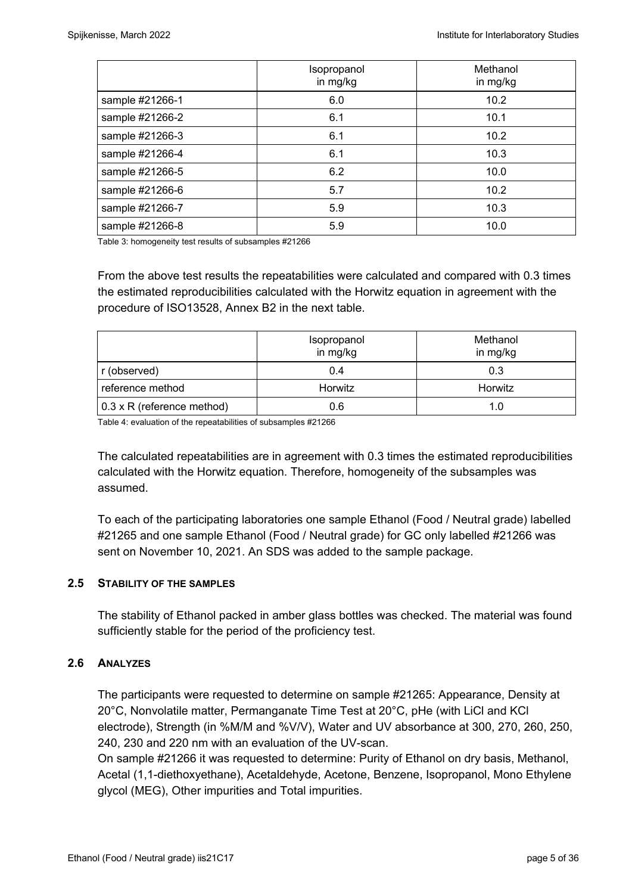|                 | Isopropanol<br>in mg/kg | Methanol<br>in mg/kg |
|-----------------|-------------------------|----------------------|
| sample #21266-1 | 6.0                     | 10.2                 |
| sample #21266-2 | 6.1                     | 10.1                 |
| sample #21266-3 | 6.1                     | 10.2                 |
| sample #21266-4 | 6.1                     | 10.3                 |
| sample #21266-5 | 6.2                     | 10.0                 |
| sample #21266-6 | 5.7                     | 10.2                 |
| sample #21266-7 | 5.9                     | 10.3                 |
| sample #21266-8 | 5.9                     | 10.0                 |

Table 3: homogeneity test results of subsamples #21266

From the above test results the repeatabilities were calculated and compared with 0.3 times the estimated reproducibilities calculated with the Horwitz equation in agreement with the procedure of ISO13528, Annex B2 in the next table.

|                                   | Isopropanol<br>in mg/kg | Methanol<br>in mg/kg |  |
|-----------------------------------|-------------------------|----------------------|--|
| r (observed)                      | 0.4                     | 0.3                  |  |
| reference method                  | Horwitz                 | Horwitz              |  |
| $0.3 \times R$ (reference method) | 0.6                     | 1.0                  |  |

Table 4: evaluation of the repeatabilities of subsamples #21266

The calculated repeatabilities are in agreement with 0.3 times the estimated reproducibilities calculated with the Horwitz equation. Therefore, homogeneity of the subsamples was assumed.

To each of the participating laboratories one sample Ethanol (Food / Neutral grade) labelled #21265 and one sample Ethanol (Food / Neutral grade) for GC only labelled #21266 was sent on November 10, 2021. An SDS was added to the sample package.

#### **2.5 STABILITY OF THE SAMPLES**

The stability of Ethanol packed in amber glass bottles was checked. The material was found sufficiently stable for the period of the proficiency test.

#### **2.6 ANALYZES**

The participants were requested to determine on sample #21265: Appearance, Density at 20°C, Nonvolatile matter, Permanganate Time Test at 20°C, pHe (with LiCl and KCl electrode), Strength (in %M/M and %V/V), Water and UV absorbance at 300, 270, 260, 250, 240, 230 and 220 nm with an evaluation of the UV-scan.

On sample #21266 it was requested to determine: Purity of Ethanol on dry basis, Methanol, Acetal (1,1-diethoxyethane), Acetaldehyde, Acetone, Benzene, Isopropanol, Mono Ethylene glycol (MEG), Other impurities and Total impurities.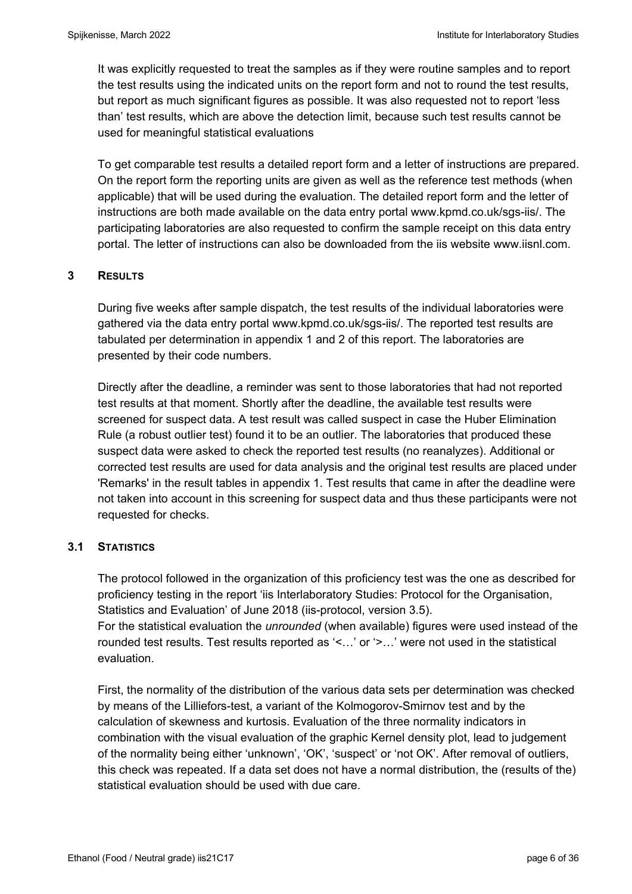It was explicitly requested to treat the samples as if they were routine samples and to report the test results using the indicated units on the report form and not to round the test results, but report as much significant figures as possible. It was also requested not to report 'less than' test results, which are above the detection limit, because such test results cannot be used for meaningful statistical evaluations

To get comparable test results a detailed report form and a letter of instructions are prepared. On the report form the reporting units are given as well as the reference test methods (when applicable) that will be used during the evaluation. The detailed report form and the letter of instructions are both made available on the data entry portal www.kpmd.co.uk/sgs-iis/. The participating laboratories are also requested to confirm the sample receipt on this data entry portal. The letter of instructions can also be downloaded from the iis website www.iisnl.com.

### **3 RESULTS**

During five weeks after sample dispatch, the test results of the individual laboratories were gathered via the data entry portal www.kpmd.co.uk/sgs-iis/. The reported test results are tabulated per determination in appendix 1 and 2 of this report. The laboratories are presented by their code numbers.

Directly after the deadline, a reminder was sent to those laboratories that had not reported test results at that moment. Shortly after the deadline, the available test results were screened for suspect data. A test result was called suspect in case the Huber Elimination Rule (a robust outlier test) found it to be an outlier. The laboratories that produced these suspect data were asked to check the reported test results (no reanalyzes). Additional or corrected test results are used for data analysis and the original test results are placed under 'Remarks' in the result tables in appendix 1. Test results that came in after the deadline were not taken into account in this screening for suspect data and thus these participants were not requested for checks.

#### **3.1 STATISTICS**

The protocol followed in the organization of this proficiency test was the one as described for proficiency testing in the report 'iis Interlaboratory Studies: Protocol for the Organisation, Statistics and Evaluation' of June 2018 (iis-protocol, version 3.5). For the statistical evaluation the *unrounded* (when available) figures were used instead of the rounded test results. Test results reported as '<…' or '>…' were not used in the statistical evaluation.

First, the normality of the distribution of the various data sets per determination was checked by means of the Lilliefors-test, a variant of the Kolmogorov-Smirnov test and by the calculation of skewness and kurtosis. Evaluation of the three normality indicators in combination with the visual evaluation of the graphic Kernel density plot, lead to judgement of the normality being either 'unknown', 'OK', 'suspect' or 'not OK'. After removal of outliers, this check was repeated. If a data set does not have a normal distribution, the (results of the) statistical evaluation should be used with due care.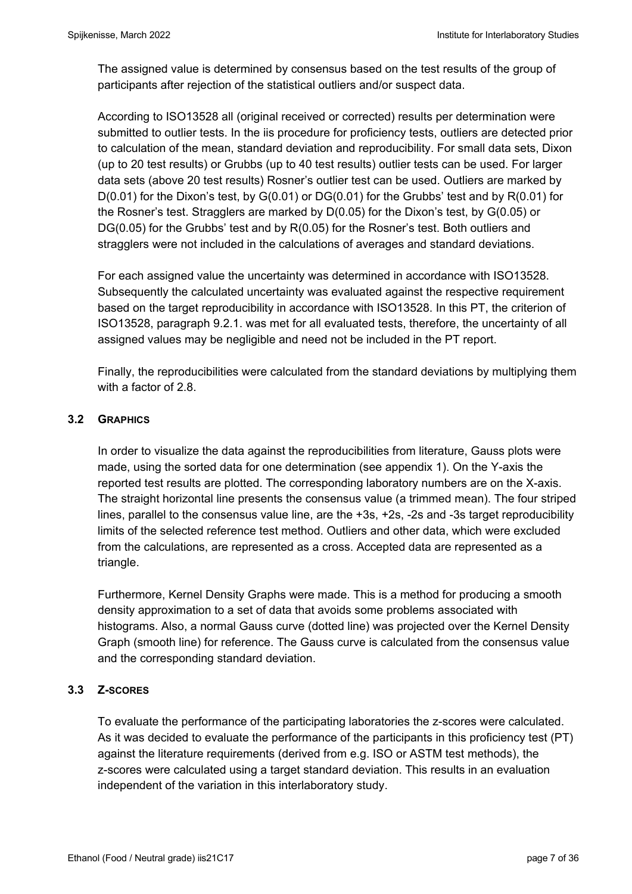The assigned value is determined by consensus based on the test results of the group of participants after rejection of the statistical outliers and/or suspect data.

According to ISO13528 all (original received or corrected) results per determination were submitted to outlier tests. In the iis procedure for proficiency tests, outliers are detected prior to calculation of the mean, standard deviation and reproducibility. For small data sets, Dixon (up to 20 test results) or Grubbs (up to 40 test results) outlier tests can be used. For larger data sets (above 20 test results) Rosner's outlier test can be used. Outliers are marked by  $D(0.01)$  for the Dixon's test, by  $G(0.01)$  or  $DG(0.01)$  for the Grubbs' test and by  $R(0.01)$  for the Rosner's test. Stragglers are marked by D(0.05) for the Dixon's test, by G(0.05) or DG(0.05) for the Grubbs' test and by R(0.05) for the Rosner's test. Both outliers and stragglers were not included in the calculations of averages and standard deviations.

For each assigned value the uncertainty was determined in accordance with ISO13528. Subsequently the calculated uncertainty was evaluated against the respective requirement based on the target reproducibility in accordance with ISO13528. In this PT, the criterion of ISO13528, paragraph 9.2.1. was met for all evaluated tests, therefore, the uncertainty of all assigned values may be negligible and need not be included in the PT report.

Finally, the reproducibilities were calculated from the standard deviations by multiplying them with a factor of 2.8.

## **3.2 GRAPHICS**

In order to visualize the data against the reproducibilities from literature, Gauss plots were made, using the sorted data for one determination (see appendix 1). On the Y-axis the reported test results are plotted. The corresponding laboratory numbers are on the X-axis. The straight horizontal line presents the consensus value (a trimmed mean). The four striped lines, parallel to the consensus value line, are the +3s, +2s, -2s and -3s target reproducibility limits of the selected reference test method. Outliers and other data, which were excluded from the calculations, are represented as a cross. Accepted data are represented as a triangle.

Furthermore, Kernel Density Graphs were made. This is a method for producing a smooth density approximation to a set of data that avoids some problems associated with histograms. Also, a normal Gauss curve (dotted line) was projected over the Kernel Density Graph (smooth line) for reference. The Gauss curve is calculated from the consensus value and the corresponding standard deviation.

### **3.3 Z-SCORES**

To evaluate the performance of the participating laboratories the z-scores were calculated. As it was decided to evaluate the performance of the participants in this proficiency test (PT) against the literature requirements (derived from e.g. ISO or ASTM test methods), the z-scores were calculated using a target standard deviation. This results in an evaluation independent of the variation in this interlaboratory study.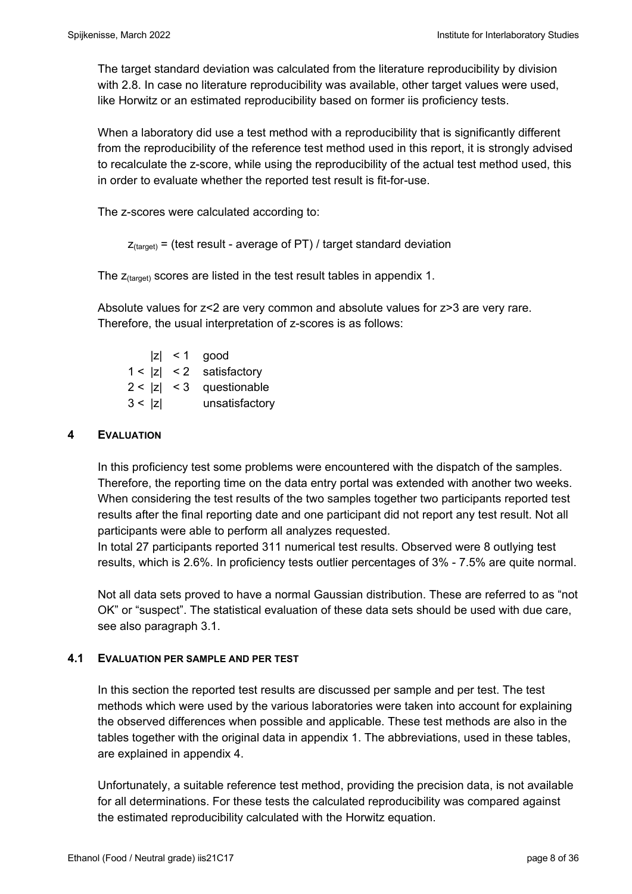The target standard deviation was calculated from the literature reproducibility by division with 2.8. In case no literature reproducibility was available, other target values were used, like Horwitz or an estimated reproducibility based on former iis proficiency tests.

When a laboratory did use a test method with a reproducibility that is significantly different from the reproducibility of the reference test method used in this report, it is strongly advised to recalculate the z-score, while using the reproducibility of the actual test method used, this in order to evaluate whether the reported test result is fit-for-use.

The z-scores were calculated according to:

```
Z_{\text{target}} = (test result - average of PT) / target standard deviation
```
The  $z_{\text{(target)}}$  scores are listed in the test result tables in appendix 1.

Absolute values for z<2 are very common and absolute values for z>3 are very rare. Therefore, the usual interpretation of z-scores is as follows:

|        | $ z  < 1$ good             |
|--------|----------------------------|
|        | $1 <  z  < 2$ satisfactory |
|        | $2 <  z  < 3$ questionable |
| 3 <  z | unsatisfactory             |

### **4 EVALUATION**

In this proficiency test some problems were encountered with the dispatch of the samples. Therefore, the reporting time on the data entry portal was extended with another two weeks. When considering the test results of the two samples together two participants reported test results after the final reporting date and one participant did not report any test result. Not all participants were able to perform all analyzes requested.

In total 27 participants reported 311 numerical test results. Observed were 8 outlying test results, which is 2.6%. In proficiency tests outlier percentages of 3% - 7.5% are quite normal.

Not all data sets proved to have a normal Gaussian distribution. These are referred to as "not OK" or "suspect". The statistical evaluation of these data sets should be used with due care, see also paragraph 3.1.

#### **4.1 EVALUATION PER SAMPLE AND PER TEST**

In this section the reported test results are discussed per sample and per test. The test methods which were used by the various laboratories were taken into account for explaining the observed differences when possible and applicable. These test methods are also in the tables together with the original data in appendix 1. The abbreviations, used in these tables, are explained in appendix 4.

Unfortunately, a suitable reference test method, providing the precision data, is not available for all determinations. For these tests the calculated reproducibility was compared against the estimated reproducibility calculated with the Horwitz equation.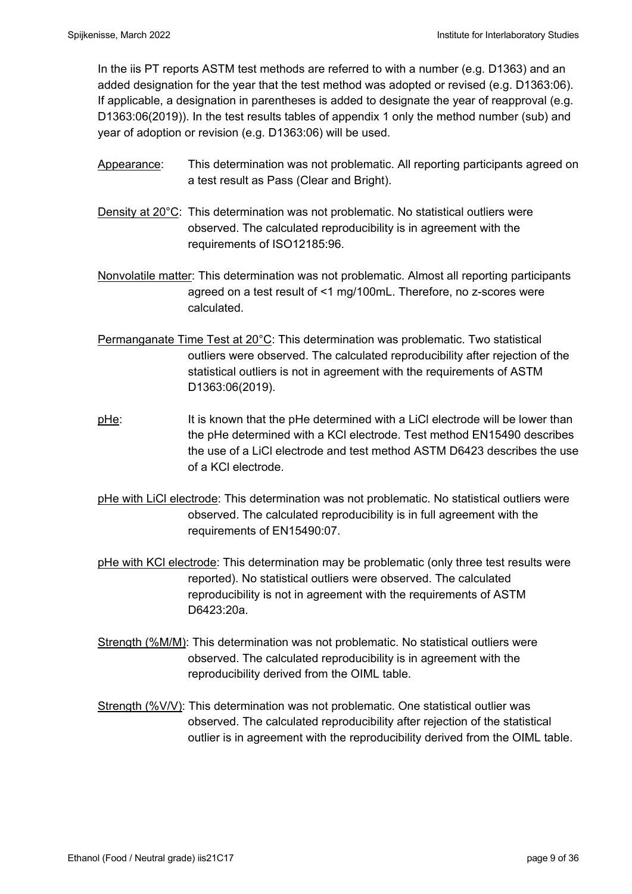In the iis PT reports ASTM test methods are referred to with a number (e.g. D1363) and an added designation for the year that the test method was adopted or revised (e.g. D1363:06). If applicable, a designation in parentheses is added to designate the year of reapproval (e.g. D1363:06(2019)). In the test results tables of appendix 1 only the method number (sub) and year of adoption or revision (e.g. D1363:06) will be used.

- Appearance: This determination was not problematic. All reporting participants agreed on a test result as Pass (Clear and Bright).
- Density at 20°C: This determination was not problematic. No statistical outliers were observed. The calculated reproducibility is in agreement with the requirements of ISO12185:96.
- Nonvolatile matter: This determination was not problematic. Almost all reporting participants agreed on a test result of <1 mg/100mL. Therefore, no z-scores were calculated.
- Permanganate Time Test at 20°C: This determination was problematic. Two statistical outliers were observed. The calculated reproducibility after rejection of the statistical outliers is not in agreement with the requirements of ASTM D1363:06(2019).
- pHe: It is known that the pHe determined with a LiCl electrode will be lower than the pHe determined with a KCl electrode. Test method EN15490 describes the use of a LiCl electrode and test method ASTM D6423 describes the use of a KCl electrode.
- pHe with LiCl electrode: This determination was not problematic. No statistical outliers were observed. The calculated reproducibility is in full agreement with the requirements of EN15490:07.
- pHe with KCI electrode: This determination may be problematic (only three test results were reported). No statistical outliers were observed. The calculated reproducibility is not in agreement with the requirements of ASTM D6423:20a.
- Strength (%M/M): This determination was not problematic. No statistical outliers were observed. The calculated reproducibility is in agreement with the reproducibility derived from the OIML table.
- Strength (%V/V): This determination was not problematic. One statistical outlier was observed. The calculated reproducibility after rejection of the statistical outlier is in agreement with the reproducibility derived from the OIML table.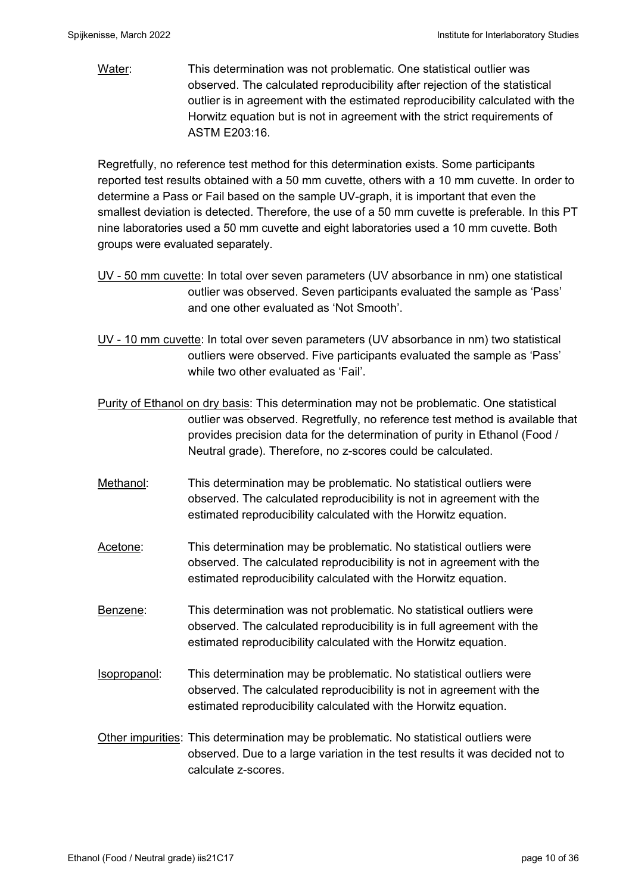Water: This determination was not problematic. One statistical outlier was observed. The calculated reproducibility after rejection of the statistical outlier is in agreement with the estimated reproducibility calculated with the Horwitz equation but is not in agreement with the strict requirements of ASTM E203:16.

Regretfully, no reference test method for this determination exists. Some participants reported test results obtained with a 50 mm cuvette, others with a 10 mm cuvette. In order to determine a Pass or Fail based on the sample UV-graph, it is important that even the smallest deviation is detected. Therefore, the use of a 50 mm cuvette is preferable. In this PT nine laboratories used a 50 mm cuvette and eight laboratories used a 10 mm cuvette. Both groups were evaluated separately.

- UV 50 mm cuvette: In total over seven parameters (UV absorbance in nm) one statistical outlier was observed. Seven participants evaluated the sample as 'Pass' and one other evaluated as 'Not Smooth'.
- UV 10 mm cuvette: In total over seven parameters (UV absorbance in nm) two statistical outliers were observed. Five participants evaluated the sample as 'Pass' while two other evaluated as 'Fail'.
- Purity of Ethanol on dry basis: This determination may not be problematic. One statistical outlier was observed. Regretfully, no reference test method is available that provides precision data for the determination of purity in Ethanol (Food / Neutral grade). Therefore, no z-scores could be calculated.
- Methanol: This determination may be problematic. No statistical outliers were observed. The calculated reproducibility is not in agreement with the estimated reproducibility calculated with the Horwitz equation.
- Acetone: This determination may be problematic. No statistical outliers were observed. The calculated reproducibility is not in agreement with the estimated reproducibility calculated with the Horwitz equation.
- Benzene: This determination was not problematic. No statistical outliers were observed. The calculated reproducibility is in full agreement with the estimated reproducibility calculated with the Horwitz equation.
- Isopropanol: This determination may be problematic. No statistical outliers were observed. The calculated reproducibility is not in agreement with the estimated reproducibility calculated with the Horwitz equation.
- Other impurities: This determination may be problematic. No statistical outliers were observed. Due to a large variation in the test results it was decided not to calculate z-scores.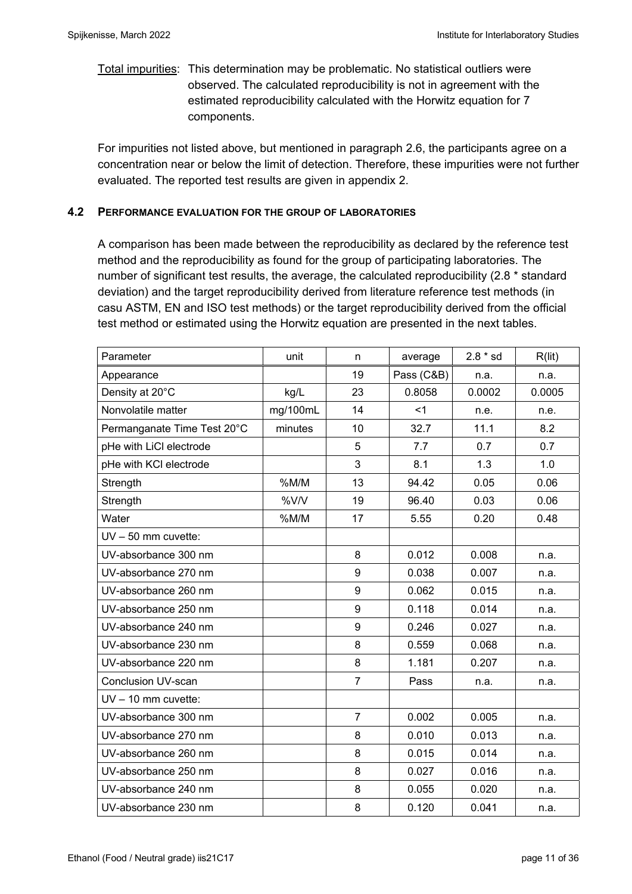## Total impurities: This determination may be problematic. No statistical outliers were observed. The calculated reproducibility is not in agreement with the estimated reproducibility calculated with the Horwitz equation for 7 components.

For impurities not listed above, but mentioned in paragraph 2.6, the participants agree on a concentration near or below the limit of detection. Therefore, these impurities were not further evaluated. The reported test results are given in appendix 2.

### **4.2 PERFORMANCE EVALUATION FOR THE GROUP OF LABORATORIES**

A comparison has been made between the reproducibility as declared by the reference test method and the reproducibility as found for the group of participating laboratories. The number of significant test results, the average, the calculated reproducibility (2.8 \* standard deviation) and the target reproducibility derived from literature reference test methods (in casu ASTM, EN and ISO test methods) or the target reproducibility derived from the official test method or estimated using the Horwitz equation are presented in the next tables.

| Parameter                   | unit     | n              | average    | $2.8 * sd$ | R(lit) |
|-----------------------------|----------|----------------|------------|------------|--------|
| Appearance                  |          | 19             | Pass (C&B) | n.a.       | n.a.   |
| Density at 20°C             | kg/L     | 23             | 0.8058     | 0.0002     | 0.0005 |
| Nonvolatile matter          | mg/100mL | 14             | $<$ 1      | n.e.       | n.e.   |
| Permanganate Time Test 20°C | minutes  | 10             | 32.7       | 11.1       | 8.2    |
| pHe with LiCl electrode     |          | 5              | 7.7        | 0.7        | 0.7    |
| pHe with KCI electrode      |          | 3              | 8.1        | 1.3        | 1.0    |
| Strength                    | %M/M     | 13             | 94.42      | 0.05       | 0.06   |
| Strength                    | %V/V     | 19             | 96.40      | 0.03       | 0.06   |
| Water                       | %M/M     | 17             | 5.55       | 0.20       | 0.48   |
| $UV - 50$ mm cuvette:       |          |                |            |            |        |
| UV-absorbance 300 nm        |          | 8              | 0.012      | 0.008      | n.a.   |
| UV-absorbance 270 nm        |          | 9              | 0.038      | 0.007      | n.a.   |
| UV-absorbance 260 nm        |          | 9              | 0.062      | 0.015      | n.a.   |
| UV-absorbance 250 nm        |          | 9              | 0.118      | 0.014      | n.a.   |
| UV-absorbance 240 nm        |          | 9              | 0.246      | 0.027      | n.a.   |
| UV-absorbance 230 nm        |          | 8              | 0.559      | 0.068      | n.a.   |
| UV-absorbance 220 nm        |          | 8              | 1.181      | 0.207      | n.a.   |
| <b>Conclusion UV-scan</b>   |          | $\overline{7}$ | Pass       | n.a.       | n.a.   |
| $UV - 10$ mm cuvette:       |          |                |            |            |        |
| UV-absorbance 300 nm        |          | $\overline{7}$ | 0.002      | 0.005      | n.a.   |
| UV-absorbance 270 nm        |          | 8              | 0.010      | 0.013      | n.a.   |
| UV-absorbance 260 nm        |          | 8              | 0.015      | 0.014      | n.a.   |
| UV-absorbance 250 nm        |          | 8              | 0.027      | 0.016      | n.a.   |
| UV-absorbance 240 nm        |          | 8              | 0.055      | 0.020      | n.a.   |
| UV-absorbance 230 nm        |          | 8              | 0.120      | 0.041      | n.a.   |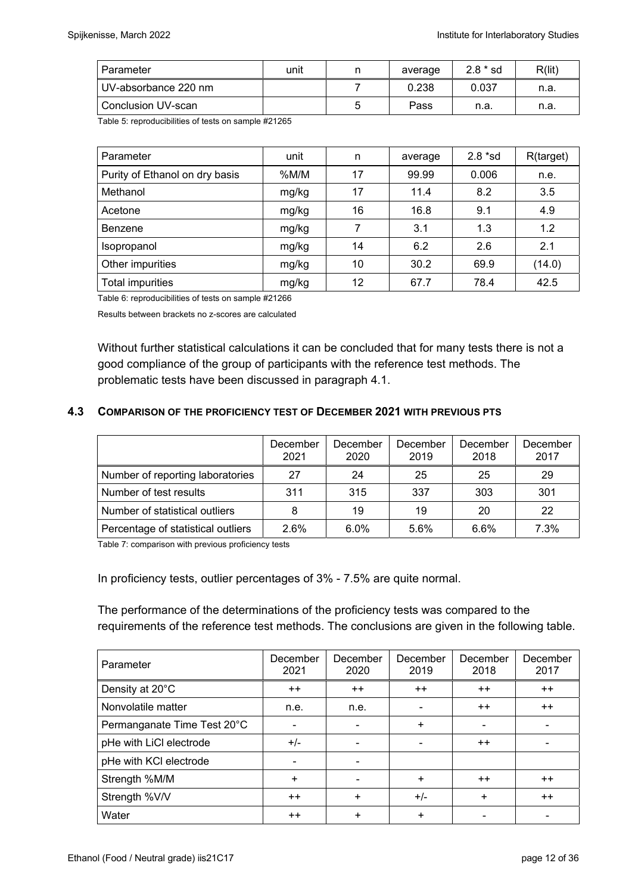| Parameter            | unit | average | $2.8 * sd$ | R(lit) |
|----------------------|------|---------|------------|--------|
| UV-absorbance 220 nm |      | 0.238   | 0.037      | n.a.   |
| Conclusion UV-scan   |      | Pass    | n.a        | n.a.   |

Table 5: reproducibilities of tests on sample #21265

| Parameter                      | unit  | n  | average | $2.8 * sd$ | R(target) |
|--------------------------------|-------|----|---------|------------|-----------|
| Purity of Ethanol on dry basis | %M/M  | 17 | 99.99   | 0.006      | n.e.      |
| Methanol                       | mg/kg | 17 | 11.4    | 8.2        | 3.5       |
| Acetone                        | mg/kg | 16 | 16.8    | 9.1        | 4.9       |
| Benzene                        | mg/kg | 7  | 3.1     | 1.3        | 1.2       |
| Isopropanol                    | mg/kg | 14 | 6.2     | 2.6        | 2.1       |
| Other impurities               | mg/kg | 10 | 30.2    | 69.9       | (14.0)    |
| Total impurities               | mg/kg | 12 | 67.7    | 78.4       | 42.5      |

Table 6: reproducibilities of tests on sample #21266

Results between brackets no z-scores are calculated

Without further statistical calculations it can be concluded that for many tests there is not a good compliance of the group of participants with the reference test methods. The problematic tests have been discussed in paragraph 4.1.

#### **4.3 COMPARISON OF THE PROFICIENCY TEST OF DECEMBER 2021 WITH PREVIOUS PTS**

|                                    | December<br>2021 | December<br>2020 | December<br>2019 | December<br>2018 | December<br>2017 |
|------------------------------------|------------------|------------------|------------------|------------------|------------------|
| Number of reporting laboratories   | 27               | 24               | 25               | 25               | 29               |
| Number of test results             | 311              | 315              | 337              | 303              | 301              |
| Number of statistical outliers     | 8                | 19               | 19               | 20               | 22               |
| Percentage of statistical outliers | 2.6%             | 6.0%             | 5.6%             | 6.6%             | 7.3%             |

Table 7: comparison with previous proficiency tests

In proficiency tests, outlier percentages of 3% - 7.5% are quite normal.

The performance of the determinations of the proficiency tests was compared to the requirements of the reference test methods. The conclusions are given in the following table.

| Parameter                   | December<br>2021 | December<br>2020         | December<br>2019 | December<br>2018 | December<br>2017 |
|-----------------------------|------------------|--------------------------|------------------|------------------|------------------|
| Density at 20°C             | $++$             | $++$                     | $++$             | $++$             | $++$             |
| Nonvolatile matter          | n.e.             | n.e.                     |                  | $++$             | $++$             |
| Permanganate Time Test 20°C | -                | $\overline{\phantom{0}}$ | $\ddot{}$        |                  |                  |
| pHe with LiCl electrode     | $+/-$            | ۰                        |                  | $++$             |                  |
| pHe with KCI electrode      |                  |                          |                  |                  |                  |
| Strength %M/M               | $\ddot{}$        | $\blacksquare$           | +                | $++$             | $^{++}$          |
| Strength %V/V               | $++$             | $\ddot{}$                | $+/-$            | $\ddot{}$        | $++$             |
| Water                       | $^{++}$          | ÷                        | ÷                |                  |                  |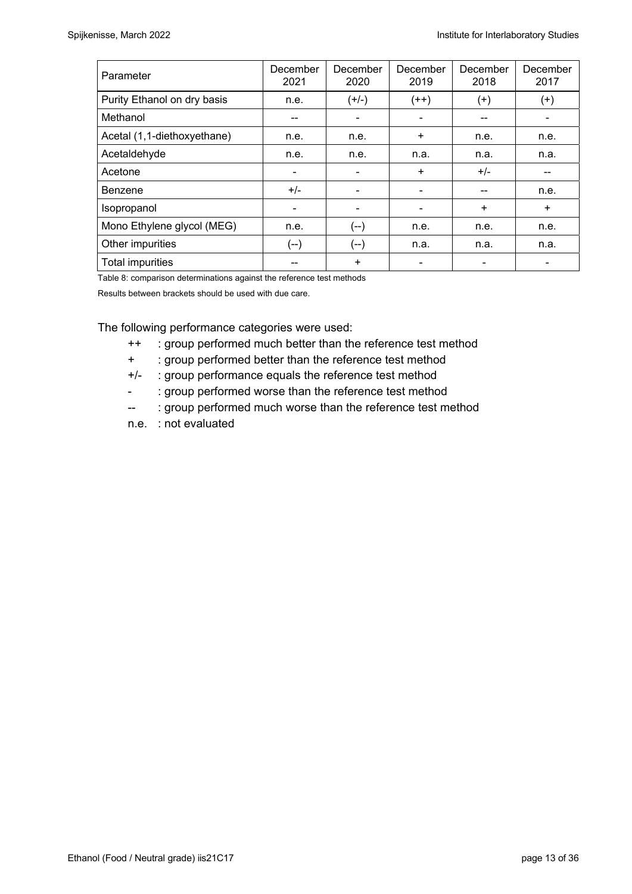| Parameter                   | December<br>2021 | December<br>2020         | December<br>2019 | December<br>2018 | December<br>2017 |
|-----------------------------|------------------|--------------------------|------------------|------------------|------------------|
| Purity Ethanol on dry basis | n.e.             | $(+/-)$                  | $(++)$           | $^{(+)}$         | $^{(+)}$         |
| Methanol                    |                  | ۰                        |                  |                  |                  |
| Acetal (1,1-diethoxyethane) | n.e.             | n.e.                     | $\ddot{}$        | n.e.             | n.e.             |
| Acetaldehyde                | n.e.             | n.e.                     | n.a.             | n.a.             | n.a.             |
| Acetone                     | -                | $\overline{\phantom{a}}$ | $+$              | $+/-$            | --               |
| Benzene                     | $+/-$            |                          |                  |                  | n.e.             |
| Isopropanol                 |                  | $\overline{\phantom{0}}$ |                  | $\ddot{}$        | $\ddot{}$        |
| Mono Ethylene glycol (MEG)  | n.e.             | (--)                     | n.e.             | n.e.             | n.e.             |
| Other impurities            | (--)             | (--)                     | n.a.             | n.a.             | n.a.             |
| <b>Total impurities</b>     |                  | ÷                        |                  |                  |                  |

Table 8: comparison determinations against the reference test methods

Results between brackets should be used with due care.

The following performance categories were used:

- ++ : group performed much better than the reference test method
- + : group performed better than the reference test method
- +/- : group performance equals the reference test method
- : group performed worse than the reference test method
- -- : group performed much worse than the reference test method
- n.e. : not evaluated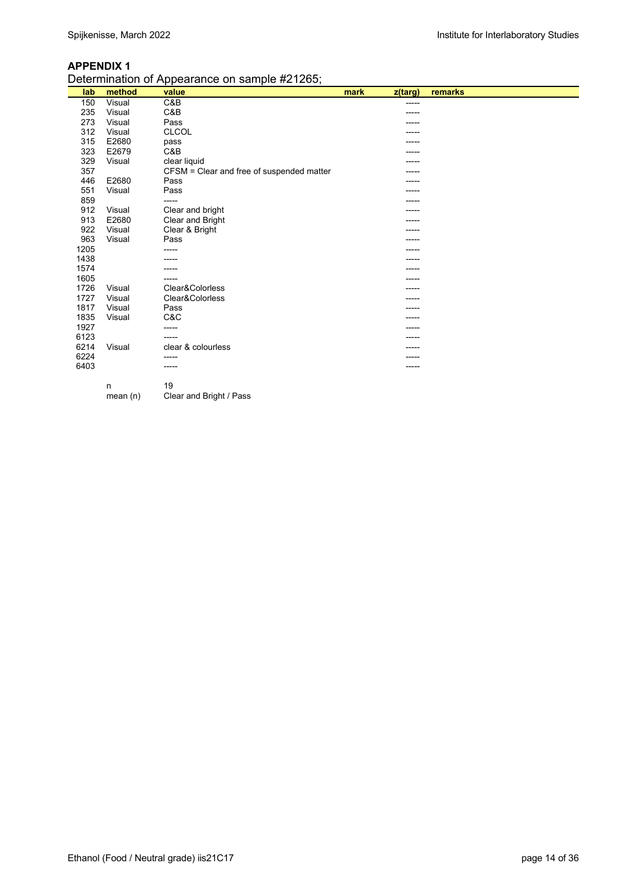| Determination of Appearance on sample #21265; |  |
|-----------------------------------------------|--|
|                                               |  |

|      | - - -<br>$- \cdot$ . | er r<br>-------<br>.                      |      |         |         |
|------|----------------------|-------------------------------------------|------|---------|---------|
| lab  | method               | value                                     | mark | z(targ) | remarks |
| 150  | Visual               | C&B                                       |      | -----   |         |
| 235  | Visual               | C&B                                       |      |         |         |
| 273  | Visual               | Pass                                      |      |         |         |
| 312  | Visual               | <b>CLCOL</b>                              |      |         |         |
| 315  | E2680                | pass                                      |      |         |         |
| 323  | E2679                | C&B                                       |      |         |         |
| 329  | Visual               | clear liquid                              |      |         |         |
| 357  |                      | CFSM = Clear and free of suspended matter |      |         |         |
| 446  | E2680                | Pass                                      |      |         |         |
| 551  | Visual               | Pass                                      |      | -----   |         |
| 859  |                      | -----                                     |      |         |         |
| 912  | Visual               | Clear and bright                          |      |         |         |
| 913  | E2680                | Clear and Bright                          |      |         |         |
| 922  | Visual               | Clear & Bright                            |      | -----   |         |
| 963  | Visual               | Pass                                      |      | -----   |         |
| 1205 |                      | -----                                     |      |         |         |
| 1438 |                      |                                           |      |         |         |
| 1574 |                      |                                           |      |         |         |
| 1605 |                      | -----                                     |      |         |         |
| 1726 | Visual               | Clear&Colorless                           |      | -----   |         |
| 1727 | Visual               | Clear&Colorless                           |      |         |         |
| 1817 | Visual               | Pass                                      |      |         |         |
| 1835 | Visual               | C&C                                       |      |         |         |
| 1927 |                      | -----                                     |      |         |         |
| 6123 |                      | -----                                     |      | -----   |         |
| 6214 | Visual               | clear & colourless                        |      |         |         |
| 6224 |                      | -----                                     |      |         |         |
| 6403 |                      | -----                                     |      | -----   |         |
|      |                      |                                           |      |         |         |
|      | n                    | 19                                        |      |         |         |

 $m$  19 mean (n) Clear and Bright / Pass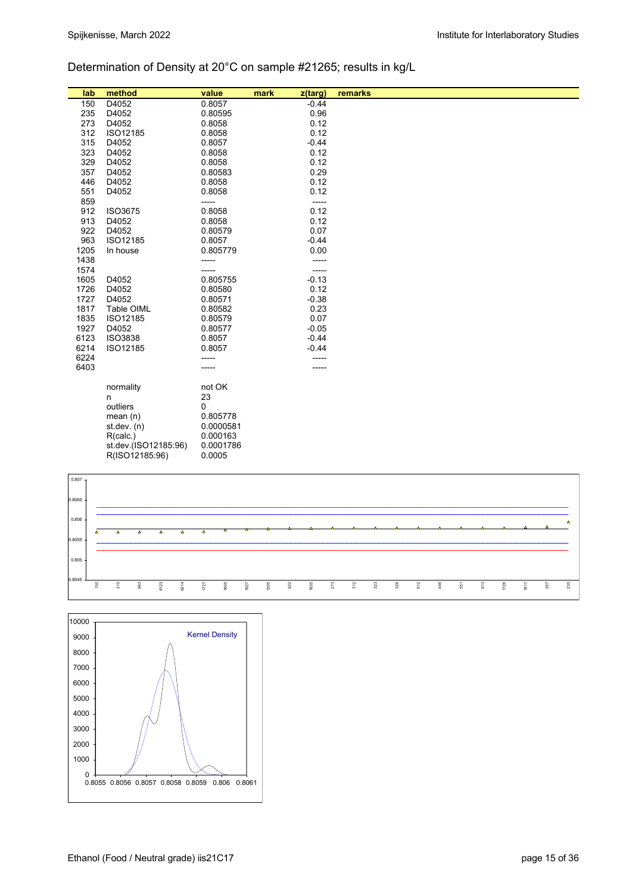## Determination of Density at 20°C on sample #21265; results in kg/L

| lab    | method               | value     | mark | z(targ) | remarks |
|--------|----------------------|-----------|------|---------|---------|
| 150    | D4052                | 0.8057    |      | $-0.44$ |         |
| 235    | D4052                | 0.80595   |      | 0.96    |         |
| 273    | D4052                | 0.8058    |      | 0.12    |         |
| 312    | ISO12185             | 0.8058    |      | 0.12    |         |
| 315    | D4052                | 0.8057    |      | $-0.44$ |         |
| 323    | D4052                | 0.8058    |      | 0.12    |         |
| 329    | D4052                | 0.8058    |      | 0.12    |         |
| 357    | D4052                | 0.80583   |      | 0.29    |         |
| 446    | D4052                | 0.8058    |      | 0.12    |         |
| 551    | D4052                | 0.8058    |      | 0.12    |         |
| 859    |                      | -----     |      | -----   |         |
| 912    | ISO3675              | 0.8058    |      | 0.12    |         |
| 913    | D4052                | 0.8058    |      | 0.12    |         |
| 922    | D4052                | 0.80579   |      | 0.07    |         |
| 963    | ISO12185             | 0.8057    |      | $-0.44$ |         |
| 1205   | In house             | 0.805779  |      | 0.00    |         |
| 1438   |                      | -----     |      | -----   |         |
| 1574   |                      | -----     |      | -----   |         |
| 1605   | D4052                | 0.805755  |      | $-0.13$ |         |
| 1726   | D4052                | 0.80580   |      | 0.12    |         |
| 1727   | D4052                | 0.80571   |      | $-0.38$ |         |
| 1817   | Table OIML           | 0.80582   |      | 0.23    |         |
| 1835   | ISO12185             | 0.80579   |      | 0.07    |         |
| 1927   | D4052                | 0.80577   |      | $-0.05$ |         |
| 6123   | <b>ISO3838</b>       | 0.8057    |      | $-0.44$ |         |
| 6214   | ISO12185             | 0.8057    |      | $-0.44$ |         |
| 6224   |                      |           |      |         |         |
| 6403   |                      |           |      |         |         |
|        | normality            | not OK    |      |         |         |
|        | n                    | 23        |      |         |         |
|        | outliers             | 0         |      |         |         |
|        | mean(n)              | 0.805778  |      |         |         |
|        | st.dev. $(n)$        | 0.0000581 |      |         |         |
|        | R(calc.)             | 0.000163  |      |         |         |
|        | st.dev.(ISO12185:96) | 0.0001786 |      |         |         |
|        | R(ISO12185:96)       | 0.0005    |      |         |         |
|        |                      |           |      |         |         |
| 0.807  |                      |           |      |         |         |
|        |                      |           |      |         |         |
| 0.8065 |                      |           |      |         |         |



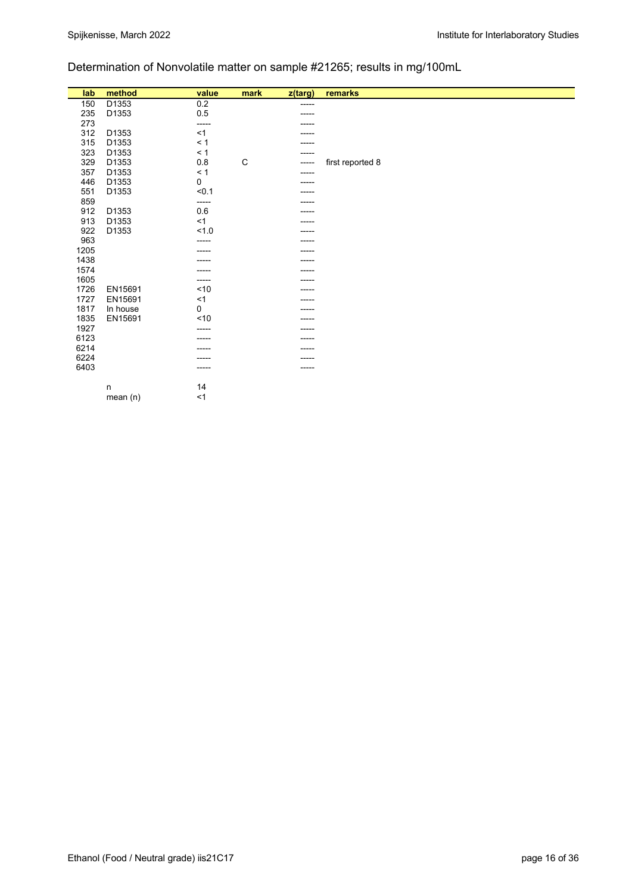## Determination of Nonvolatile matter on sample #21265; results in mg/100mL

| lab  | method     | value    | mark | z(targ) | remarks          |
|------|------------|----------|------|---------|------------------|
| 150  | D1353      | $0.2\,$  |      | -----   |                  |
| 235  | D1353      | $0.5\,$  |      |         |                  |
| 273  |            | -----    |      |         |                  |
| 312  | D1353      | <1       |      |         |                  |
| 315  | D1353      | < 1      |      | -----   |                  |
| 323  | D1353      | < 1      |      | -----   |                  |
| 329  | D1353      | $0.8\,$  | C    |         | first reported 8 |
| 357  | D1353      | $\leq 1$ |      |         |                  |
| 446  | D1353      | 0        |      |         |                  |
| 551  | D1353      | < 0.1    |      |         |                  |
| 859  |            | -----    |      | -----   |                  |
| 912  | D1353      | 0.6      |      |         |                  |
| 913  | D1353      | <1       |      |         |                  |
| 922  | D1353      | 1.0      |      |         |                  |
| 963  |            |          |      |         |                  |
| 1205 |            |          |      |         |                  |
| 1438 |            |          |      |         |                  |
| 1574 |            |          |      |         |                  |
| 1605 |            | -----    |      |         |                  |
| 1726 | EN15691    | ~10      |      |         |                  |
| 1727 | EN15691    | $<$ 1    |      |         |                  |
| 1817 | In house   | 0        |      |         |                  |
| 1835 | EN15691    | ~10      |      |         |                  |
| 1927 |            | ----     |      |         |                  |
| 6123 |            | -----    |      | -----   |                  |
| 6214 |            | ----     |      | -----   |                  |
| 6224 |            |          |      |         |                  |
| 6403 |            |          |      |         |                  |
|      | n          | 14       |      |         |                  |
|      | mean $(n)$ | $<$ 1    |      |         |                  |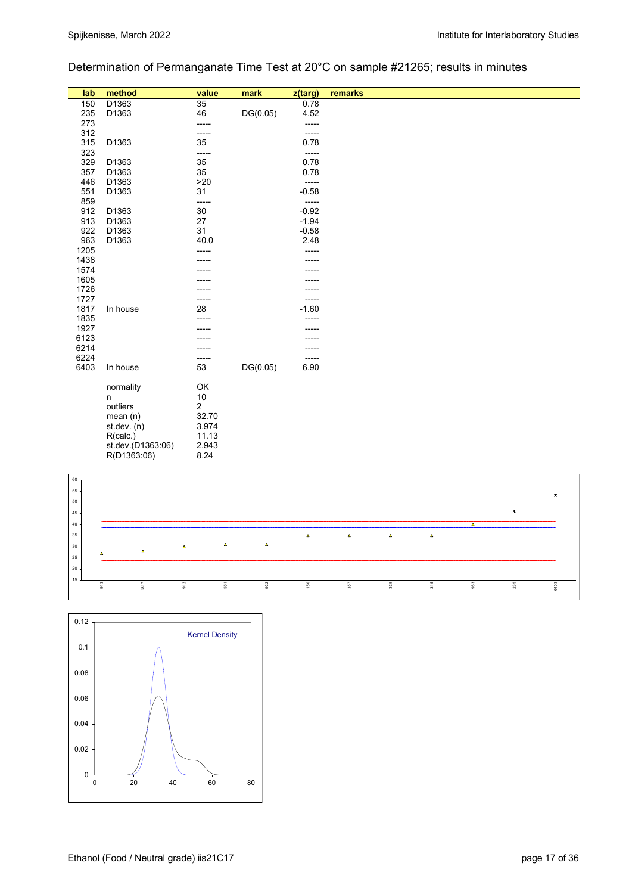## Determination of Permanganate Time Test at 20°C on sample #21265; results in minutes

| lab             | method            | value           | mark     | z(targ) | remarks        |
|-----------------|-------------------|-----------------|----------|---------|----------------|
| 150             | D1363             | $\overline{35}$ |          | 0.78    |                |
| 235             | D1363             | 46              | DG(0.05) | 4.52    |                |
| 273             |                   | -----           |          | -----   |                |
| 312             |                   | -----           |          | -----   |                |
| 315             | D1363             | 35              |          | 0.78    |                |
| 323             |                   | -----           |          | -----   |                |
| 329             | D1363             | 35              |          | 0.78    |                |
| 357             | D1363             | 35              |          | 0.78    |                |
| 446             | D1363             | >20             |          | -----   |                |
| 551             | D1363             | 31              |          | $-0.58$ |                |
| 859             |                   | -----           |          | -----   |                |
| 912             | D1363             | 30              |          | $-0.92$ |                |
| 913             | D1363             | 27              |          | $-1.94$ |                |
| 922             | D1363             | 31              |          | $-0.58$ |                |
| 963             | D1363             | 40.0            |          | 2.48    |                |
| 1205            |                   | -----           |          | -----   |                |
| 1438            |                   |                 |          |         |                |
| 1574            |                   |                 |          |         |                |
| 1605            |                   |                 |          |         |                |
| 1726            |                   |                 |          |         |                |
| 1727            |                   | -----           |          | -----   |                |
| 1817            | In house          | 28              |          | $-1.60$ |                |
| 1835            |                   |                 |          | -----   |                |
| 1927            |                   |                 |          |         |                |
| 6123            |                   |                 |          |         |                |
| 6214            |                   |                 |          |         |                |
| 6224            |                   | -----           |          | -----   |                |
| 6403            | In house          | 53              | DG(0.05) | 6.90    |                |
|                 | normality         | OK              |          |         |                |
|                 | n                 | $10$            |          |         |                |
|                 | outliers          | $\overline{c}$  |          |         |                |
|                 | mean(n)           | 32.70           |          |         |                |
|                 | st.dev. (n)       | 3.974           |          |         |                |
|                 | R(calc.)          | 11.13           |          |         |                |
|                 | st.dev.(D1363:06) | 2.943           |          |         |                |
|                 | R(D1363:06)       | 8.24            |          |         |                |
|                 |                   |                 |          |         |                |
| 60 <sub>7</sub> |                   |                 |          |         |                |
| 55 <sub>5</sub> |                   |                 |          |         | $\pmb{\times}$ |
| $50 -$          |                   |                 |          |         |                |
|                 |                   |                 |          |         | $\mathbf{x}$   |



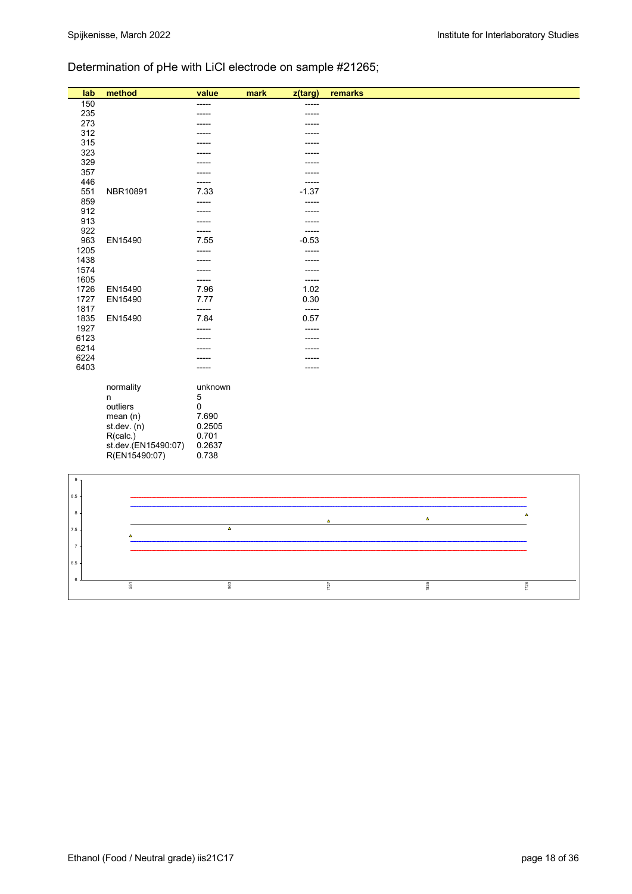## Determination of pHe with LiCl electrode on sample #21265;

| lab            | method                  | value           | mark | z(targ)          | remarks        |          |
|----------------|-------------------------|-----------------|------|------------------|----------------|----------|
| 150            |                         | -----           |      | -----            |                |          |
| 235            |                         |                 |      | -----            |                |          |
| 273            |                         |                 |      | -----            |                |          |
| 312            |                         |                 |      |                  |                |          |
| 315            |                         |                 |      |                  |                |          |
| 323            |                         |                 |      |                  |                |          |
| 329            |                         |                 |      | ----             |                |          |
| 357            |                         |                 |      |                  |                |          |
| 446            |                         |                 |      | -----            |                |          |
| 551            | NBR10891                | 7.33            |      | $-1.37$          |                |          |
| 859            |                         | -----           |      | -----            |                |          |
| 912<br>913     |                         |                 |      | -----            |                |          |
| 922            |                         |                 |      |                  |                |          |
| 963            | EN15490                 | -----<br>7.55   |      | -----<br>$-0.53$ |                |          |
| 1205           |                         | -----           |      | -----            |                |          |
| 1438           |                         |                 |      | -----            |                |          |
| 1574           |                         | -----           |      | -----            |                |          |
| 1605           |                         | -----           |      | -----            |                |          |
| 1726           | EN15490                 | 7.96            |      | 1.02             |                |          |
| 1727           | EN15490                 | 7.77            |      | 0.30             |                |          |
| 1817           |                         | -----           |      | -----            |                |          |
| 1835           | EN15490                 | 7.84            |      | 0.57             |                |          |
| 1927           |                         |                 |      | -----            |                |          |
| 6123           |                         |                 |      | -----            |                |          |
| 6214           |                         |                 |      |                  |                |          |
| 6224           |                         |                 |      |                  |                |          |
| 6403           |                         | -----           |      | -----            |                |          |
|                |                         |                 |      |                  |                |          |
|                | normality               | unknown         |      |                  |                |          |
|                | n                       | 5               |      |                  |                |          |
|                | outliers                | $\pmb{0}$       |      |                  |                |          |
|                | mean(n)<br>st. dev. (n) | 7.690<br>0.2505 |      |                  |                |          |
|                | R(calc.)                | 0.701           |      |                  |                |          |
|                | st.dev.(EN15490:07)     | 0.2637          |      |                  |                |          |
|                | R(EN15490:07)           | 0.738           |      |                  |                |          |
|                |                         |                 |      |                  |                |          |
| $\,9$          |                         |                 |      |                  |                |          |
|                |                         |                 |      |                  |                |          |
| 8.5            |                         |                 |      |                  |                |          |
|                |                         |                 |      |                  |                |          |
| $\,$ 8 $\,$    |                         |                 |      |                  | $\pmb{\Delta}$ | $\Delta$ |
| 7.5            |                         | $\pmb{\Delta}$  |      |                  |                |          |
|                | Δ                       |                 |      |                  |                |          |
| $\overline{7}$ |                         |                 |      |                  |                |          |
|                |                         |                 |      |                  |                |          |
| $6.5\,$        |                         |                 |      |                  |                |          |
| $\bf 6$        |                         |                 |      |                  |                |          |
|                | 551                     | 963             |      |                  | 1835<br>$1727$ | 1726     |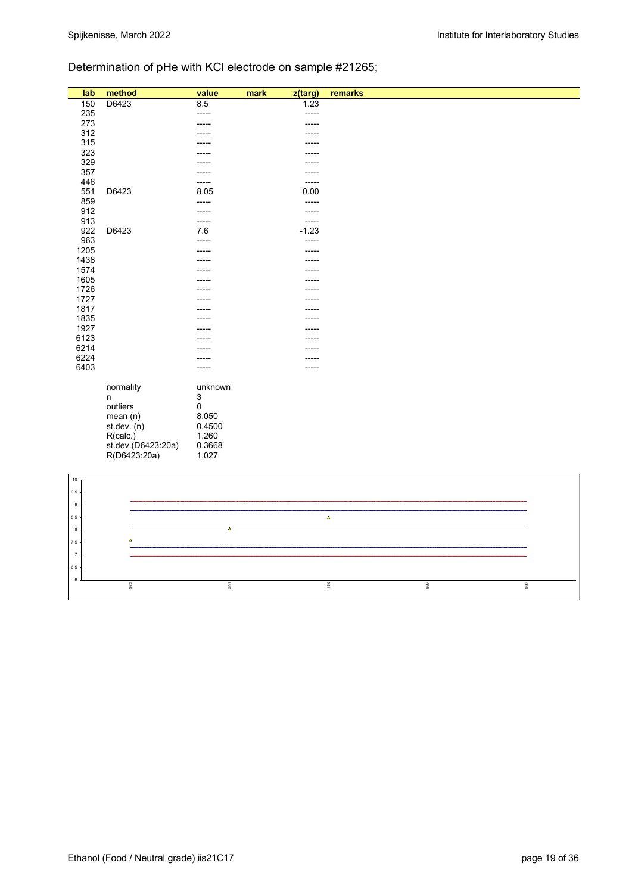## Determination of pHe with KCl electrode on sample #21265;

| lab            | method             | value   | mark | z(targ) | remarks        |        |
|----------------|--------------------|---------|------|---------|----------------|--------|
| 150            | D6423              | 8.5     |      | 1.23    |                |        |
| 235            |                    | ------  |      | -----   |                |        |
| 273            |                    | -----   |      | -----   |                |        |
| 312            |                    |         |      |         |                |        |
| 315            |                    |         |      |         |                |        |
| 323            |                    |         |      |         |                |        |
| 329            |                    |         |      |         |                |        |
| 357            |                    |         |      |         |                |        |
| 446            |                    | -----   |      | -----   |                |        |
| 551            | D6423              | 8.05    |      | 0.00    |                |        |
| 859            |                    | -----   |      | -----   |                |        |
| 912            |                    | -----   |      | -----   |                |        |
| 913            |                    | -----   |      | -----   |                |        |
| 922            | D6423              | 7.6     |      | $-1.23$ |                |        |
| 963            |                    | ------  |      | -----   |                |        |
| 1205           |                    | -----   |      | -----   |                |        |
| 1438           |                    |         |      |         |                |        |
| 1574           |                    |         |      |         |                |        |
| 1605           |                    |         |      |         |                |        |
| 1726           |                    |         |      |         |                |        |
| 1727           |                    |         |      |         |                |        |
| 1817           |                    |         |      |         |                |        |
| 1835           |                    |         |      |         |                |        |
| 1927           |                    |         |      |         |                |        |
| 6123           |                    |         |      |         |                |        |
| 6214           |                    |         |      |         |                |        |
| 6224           |                    |         |      |         |                |        |
| 6403           |                    | -----   |      | ----    |                |        |
|                | normality          | unknown |      |         |                |        |
|                | n                  | 3       |      |         |                |        |
|                | outliers           | 0       |      |         |                |        |
|                | mean(n)            | 8.050   |      |         |                |        |
|                | st.dev. (n)        | 0.4500  |      |         |                |        |
|                | R(calc.)           | 1.260   |      |         |                |        |
|                | st.dev.(D6423:20a) | 0.3668  |      |         |                |        |
|                | R(D6423:20a)       | 1.027   |      |         |                |        |
|                |                    |         |      |         |                |        |
|                |                    |         |      |         |                |        |
| $10\,$         |                    |         |      |         |                |        |
| 9.5            |                    |         |      |         |                |        |
| $9\,$          |                    |         |      |         |                |        |
| $8.5\,$        |                    |         |      |         | $\pmb{\Delta}$ |        |
|                |                    |         |      |         |                |        |
| $\bf8$         |                    |         |      |         |                |        |
| $7.5\,$        | Δ                  |         |      |         |                |        |
| $\overline{7}$ |                    |         |      |         |                |        |
| $6.5\,$        |                    |         |      |         |                |        |
|                |                    |         |      |         |                |        |
| $\,6\,$        | 922                | 551     |      |         | 150<br>-999    | $-999$ |
|                |                    |         |      |         |                |        |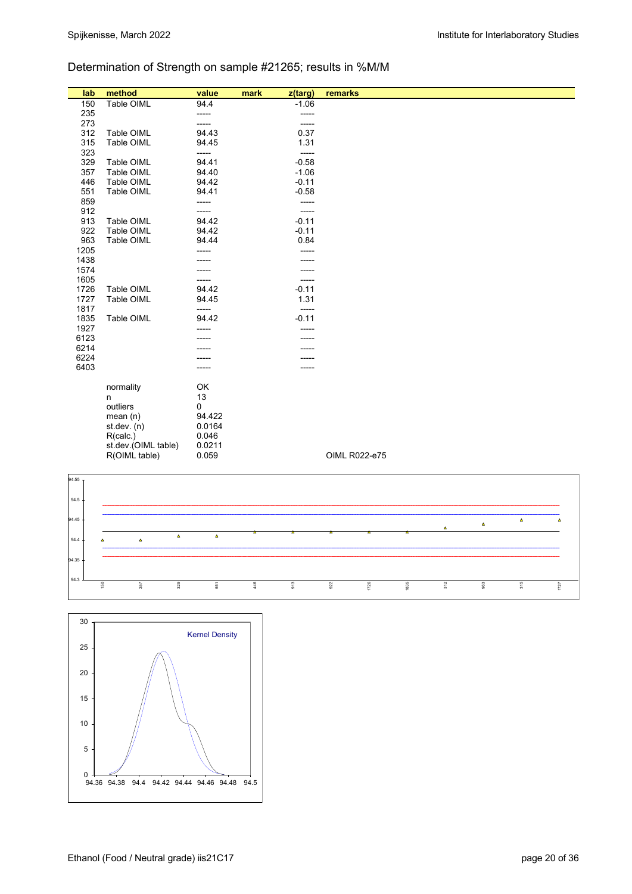## Determination of Strength on sample #21265; results in %M/M

| lab  | method              | value  | mark<br>z(targ) | remarks       |
|------|---------------------|--------|-----------------|---------------|
| 150  | Table OIML          | 94.4   | $-1.06$         |               |
| 235  |                     | -----  | -----           |               |
| 273  |                     | -----  | -----           |               |
| 312  | Table OIML          | 94.43  | 0.37            |               |
| 315  | Table OIML          | 94.45  | 1.31            |               |
| 323  |                     | -----  | -----           |               |
| 329  | Table OIML          | 94.41  | $-0.58$         |               |
| 357  | Table OIML          | 94.40  | $-1.06$         |               |
| 446  | Table OIML          | 94.42  | $-0.11$         |               |
| 551  | Table OIML          | 94.41  | $-0.58$         |               |
| 859  |                     | -----  | -----           |               |
| 912  |                     | -----  | -----           |               |
| 913  | Table OIML          | 94.42  | $-0.11$         |               |
| 922  | Table OIML          | 94.42  | $-0.11$         |               |
| 963  | Table OIML          | 94.44  | 0.84            |               |
| 1205 |                     |        |                 |               |
| 1438 |                     |        |                 |               |
| 1574 |                     |        | -----           |               |
| 1605 |                     |        | -----           |               |
| 1726 | Table OIML          | 94.42  | $-0.11$         |               |
| 1727 | Table OIML          | 94.45  | 1.31            |               |
| 1817 |                     | -----  | -----           |               |
| 1835 | Table OIML          | 94.42  | $-0.11$         |               |
| 1927 |                     |        |                 |               |
| 6123 |                     |        |                 |               |
| 6214 |                     |        |                 |               |
| 6224 |                     |        |                 |               |
| 6403 |                     |        |                 |               |
|      | normality           | OK     |                 |               |
|      | n                   | 13     |                 |               |
|      | outliers            | 0      |                 |               |
|      | mean(n)             | 94.422 |                 |               |
|      | st.dev. $(n)$       | 0.0164 |                 |               |
|      | R(calc.)            | 0.046  |                 |               |
|      | st.dev.(OIML table) | 0.0211 |                 |               |
|      | R(OIML table)       | 0.059  |                 | OIML R022-e75 |
|      |                     |        |                 |               |



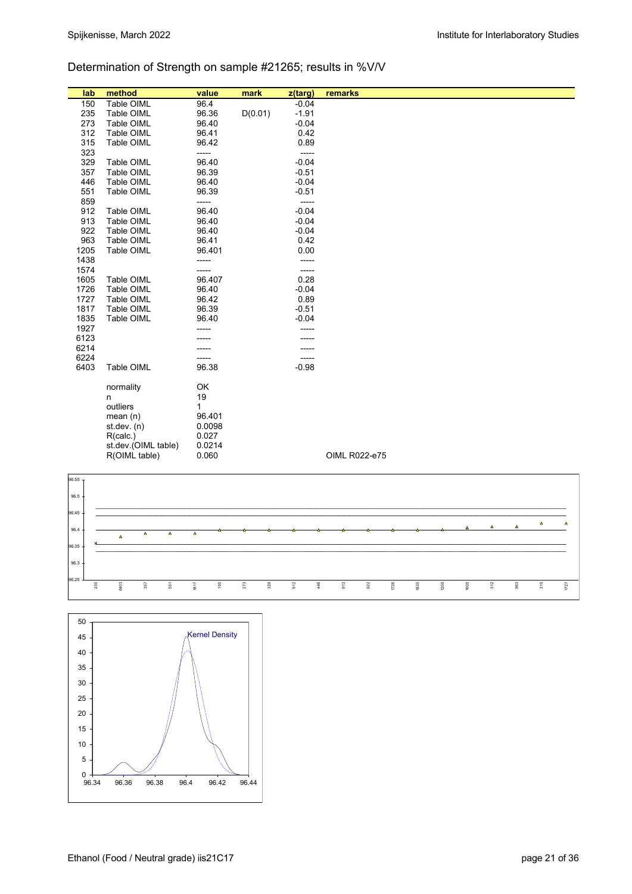## Determination of Strength on sample #21265; results in %V/V

| lab  | method                                                                                                        | value                                                                    | mark    | z(targ) | remarks       |
|------|---------------------------------------------------------------------------------------------------------------|--------------------------------------------------------------------------|---------|---------|---------------|
| 150  | Table OIML                                                                                                    | 96.4                                                                     |         | $-0.04$ |               |
| 235  | Table OIML                                                                                                    | 96.36                                                                    | D(0.01) | $-1.91$ |               |
| 273  | Table OIML                                                                                                    | 96.40                                                                    |         | $-0.04$ |               |
| 312  | Table OIML                                                                                                    | 96.41                                                                    |         | 0.42    |               |
| 315  | Table OIML                                                                                                    | 96.42                                                                    |         | 0.89    |               |
| 323  |                                                                                                               | -----                                                                    |         | -----   |               |
| 329  | Table OIML                                                                                                    | 96.40                                                                    |         | $-0.04$ |               |
| 357  | Table OIML                                                                                                    | 96.39                                                                    |         | $-0.51$ |               |
| 446  | Table OIML                                                                                                    | 96.40                                                                    |         | $-0.04$ |               |
| 551  | Table OIML                                                                                                    | 96.39                                                                    |         | $-0.51$ |               |
| 859  |                                                                                                               | -----                                                                    |         | -----   |               |
| 912  | Table OIML                                                                                                    | 96.40                                                                    |         | $-0.04$ |               |
| 913  | Table OIML                                                                                                    | 96.40                                                                    |         | $-0.04$ |               |
| 922  | Table OIML                                                                                                    | 96.40                                                                    |         | $-0.04$ |               |
| 963  | Table OIML                                                                                                    | 96.41                                                                    |         | 0.42    |               |
| 1205 | Table OIML                                                                                                    | 96.401                                                                   |         | 0.00    |               |
| 1438 |                                                                                                               | -----                                                                    |         | -----   |               |
| 1574 |                                                                                                               | -----                                                                    |         | -----   |               |
| 1605 | Table OIML                                                                                                    | 96.407                                                                   |         | 0.28    |               |
| 1726 | Table OIML                                                                                                    | 96.40                                                                    |         | $-0.04$ |               |
| 1727 | Table OIML                                                                                                    | 96.42                                                                    |         | 0.89    |               |
| 1817 | Table OIML                                                                                                    | 96.39                                                                    |         | $-0.51$ |               |
| 1835 | Table OIML                                                                                                    | 96.40                                                                    |         | $-0.04$ |               |
| 1927 |                                                                                                               |                                                                          |         | -----   |               |
| 6123 |                                                                                                               |                                                                          |         |         |               |
| 6214 |                                                                                                               |                                                                          |         |         |               |
| 6224 |                                                                                                               |                                                                          |         | -----   |               |
| 6403 | Table OIML                                                                                                    | 96.38                                                                    |         | $-0.98$ |               |
|      |                                                                                                               |                                                                          |         |         |               |
|      |                                                                                                               |                                                                          |         |         |               |
|      |                                                                                                               |                                                                          |         |         |               |
|      |                                                                                                               |                                                                          |         |         |               |
|      |                                                                                                               |                                                                          |         |         |               |
|      |                                                                                                               |                                                                          |         |         |               |
|      |                                                                                                               |                                                                          |         |         |               |
|      |                                                                                                               |                                                                          |         |         |               |
|      |                                                                                                               |                                                                          |         |         |               |
|      | normality<br>n<br>outliers<br>mean $(n)$<br>st.dev. $(n)$<br>R(calc.)<br>st.dev.(OIML table)<br>R(OIML table) | OK<br>19<br>$\mathbf{1}$<br>96.401<br>0.0098<br>0.027<br>0.0214<br>0.060 |         |         | OIML R022-e75 |



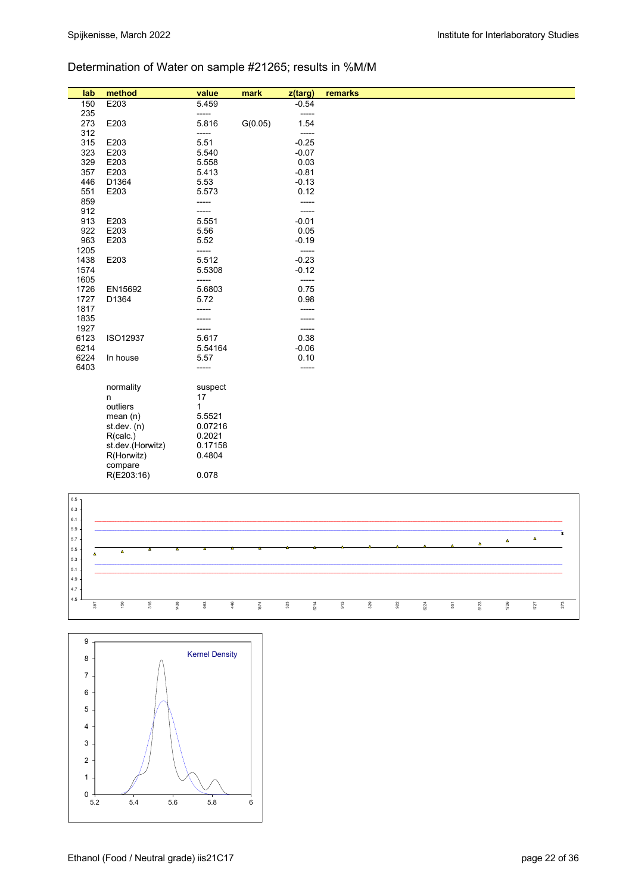## Determination of Water on sample #21265; results in %M/M

| lab                        | method           | value           | mark    | z(targ)         | remarks |
|----------------------------|------------------|-----------------|---------|-----------------|---------|
| 150                        | E203             | 5.459           |         | $-0.54$         |         |
| 235                        |                  | -----           |         | -----           |         |
| 273                        | E203             | 5.816           | G(0.05) | 1.54            |         |
| 312                        |                  | -----           |         | -----           |         |
| 315                        | E203             | 5.51            |         | $-0.25$         |         |
| 323                        | E203             | 5.540           |         | $-0.07$         |         |
| 329<br>357                 | E203<br>E203     | 5.558<br>5.413  |         | 0.03<br>$-0.81$ |         |
| 446                        | D1364            | 5.53            |         | $-0.13$         |         |
| 551                        | E203             | 5.573           |         | 0.12            |         |
| 859                        |                  | -----           |         | -----           |         |
| 912                        |                  |                 |         | -----           |         |
| 913                        | E203             | 5.551           |         | $-0.01$         |         |
| 922                        | E203             | 5.56            |         | 0.05            |         |
| 963                        | E203             | 5.52            |         | $-0.19$         |         |
| 1205                       |                  | -----           |         | $-----$         |         |
| 1438                       | E203             | 5.512           |         | $-0.23$         |         |
| 1574                       |                  | 5.5308          |         | $-0.12$         |         |
| 1605<br>1726               | EN15692          | -----<br>5.6803 |         | $-----$<br>0.75 |         |
| 1727                       | D1364            | 5.72            |         | 0.98            |         |
| 1817                       |                  | -----           |         | -----           |         |
| 1835                       |                  |                 |         | -----           |         |
| 1927                       |                  | -----           |         | -----           |         |
| 6123                       | ISO12937         | 5.617           |         | 0.38            |         |
| 6214                       |                  | 5.54164         |         | $-0.06$         |         |
| 6224                       | In house         | 5.57            |         | 0.10            |         |
| 6403                       |                  | -----           |         | -----           |         |
|                            | normality        | suspect         |         |                 |         |
|                            | n                | 17              |         |                 |         |
|                            | outliers         | $\mathbf{1}$    |         |                 |         |
|                            | mean(n)          | 5.5521          |         |                 |         |
|                            | st. dev. (n)     | 0.07216         |         |                 |         |
|                            | R(calc.)         | 0.2021          |         |                 |         |
|                            | st.dev.(Horwitz) | 0.17158         |         |                 |         |
|                            | R(Horwitz)       | 0.4804          |         |                 |         |
|                            | compare          |                 |         |                 |         |
|                            | R(E203:16)       | 0.078           |         |                 |         |
|                            |                  |                 |         |                 |         |
| 6.5 <sub>7</sub><br>$\sim$ |                  |                 |         |                 |         |



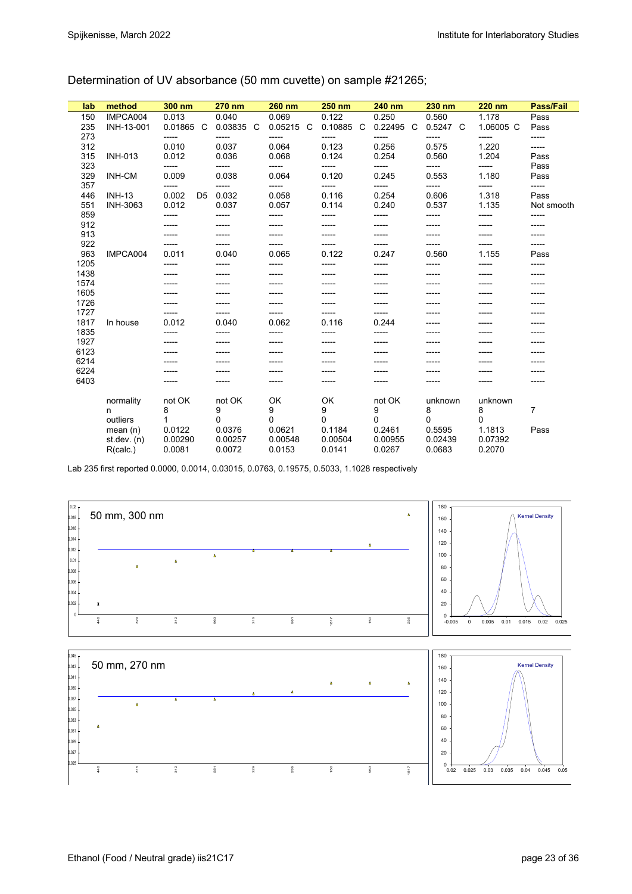| lab  | method          | 300 nm                  | 270 nm       | 260 nm       | <b>250 nm</b> | 240 nm    | 230 nm   | <b>220 nm</b> | Pass/Fail  |
|------|-----------------|-------------------------|--------------|--------------|---------------|-----------|----------|---------------|------------|
| 150  | IMPCA004        | 0.013                   | 0.040        | 0.069        | 0.122         | 0.250     | 0.560    | 1.178         | Pass       |
| 235  | INH-13-001      | 0.01865 C               | 0.03835<br>C | 0.05215<br>C | 0.10885<br>C  | 0.22495 C | 0.5247 C | 1.06005 C     | Pass       |
| 273  |                 | -----                   | -----        | ------       |               | -----     | -----    | -----         | -----      |
| 312  |                 | 0.010                   | 0.037        | 0.064        | 0.123         | 0.256     | 0.575    | 1.220         | -----      |
| 315  | <b>INH-013</b>  | 0.012                   | 0.036        | 0.068        | 0.124         | 0.254     | 0.560    | 1.204         | Pass       |
| 323  |                 | -----                   |              | -----        |               |           | -----    |               | Pass       |
| 329  | <b>INH-CM</b>   | 0.009                   | 0.038        | 0.064        | 0.120         | 0.245     | 0.553    | 1.180         | Pass       |
| 357  |                 | -----                   | -----        | -----        |               | -----     | -----    | -----         | -----      |
| 446  | <b>INH-13</b>   | 0.002<br>D <sub>5</sub> | 0.032        | 0.058        | 0.116         | 0.254     | 0.606    | 1.318         | Pass       |
| 551  | <b>INH-3063</b> | 0.012                   | 0.037        | 0.057        | 0.114         | 0.240     | 0.537    | 1.135         | Not smooth |
| 859  |                 | -----                   | -----        | -----        | -----         | -----     | -----    | -----         | -----      |
| 912  |                 |                         |              |              |               |           | -----    |               |            |
| 913  |                 |                         |              |              |               |           | -----    |               |            |
| 922  |                 | -----                   | -----        |              |               |           | -----    | -----         | -----      |
| 963  | IMPCA004        | 0.011                   | 0.040        | 0.065        | 0.122         | 0.247     | 0.560    | 1.155         | Pass       |
| 1205 |                 | -----                   | -----        | -----        | -----         | -----     | -----    | -----         | -----      |
| 1438 |                 |                         |              |              |               |           |          |               |            |
| 1574 |                 |                         |              |              |               |           |          |               |            |
| 1605 |                 |                         |              |              |               |           |          |               |            |
| 1726 |                 |                         |              |              |               |           |          |               |            |
| 1727 |                 | -----                   | -----        |              |               | -----     |          |               |            |
| 1817 | In house        | 0.012                   | 0.040        | 0.062        | 0.116         | 0.244     |          |               |            |
| 1835 |                 | -----                   | -----        | -----        |               | -----     |          |               |            |
| 1927 |                 |                         |              |              |               |           |          |               |            |
| 6123 |                 |                         |              |              |               |           |          |               |            |
| 6214 |                 |                         |              |              |               |           |          |               |            |
| 6224 |                 |                         |              |              |               |           |          |               |            |
| 6403 |                 |                         | -----        | -----        | -----         | -----     | -----    | -----         | -----      |
|      | normality       | not OK                  | not OK       | OK           | OK            | not OK    | unknown  | unknown       |            |
|      | n               | 8                       | 9            | 9            | 9             | 9         | 8        | 8             | 7          |
|      | outliers        |                         | $\Omega$     | $\Omega$     | $\Omega$      | 0         | $\Omega$ | 0             |            |
|      | mean $(n)$      | 0.0122                  | 0.0376       | 0.0621       | 0.1184        | 0.2461    | 0.5595   | 1.1813        | Pass       |
|      | st.dev. $(n)$   | 0.00290                 | 0.00257      | 0.00548      | 0.00504       | 0.00955   | 0.02439  | 0.07392       |            |
|      | R(calc.)        | 0.0081                  | 0.0072       | 0.0153       | 0.0141        | 0.0267    | 0.0683   | 0.2070        |            |

Determination of UV absorbance (50 mm cuvette) on sample #21265;

Lab 235 first reported 0.0000, 0.0014, 0.03015, 0.0763, 0.19575, 0.5033, 1.1028 respectively

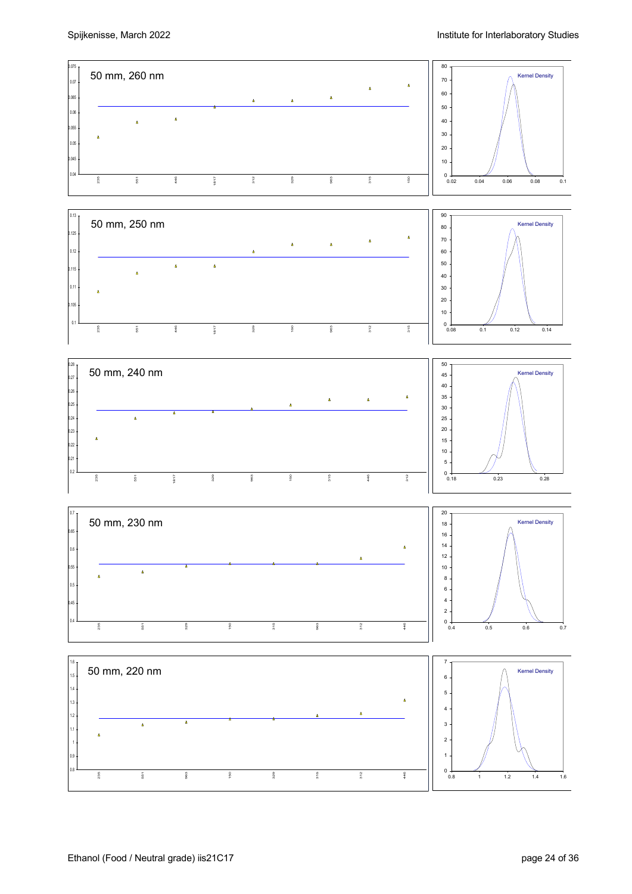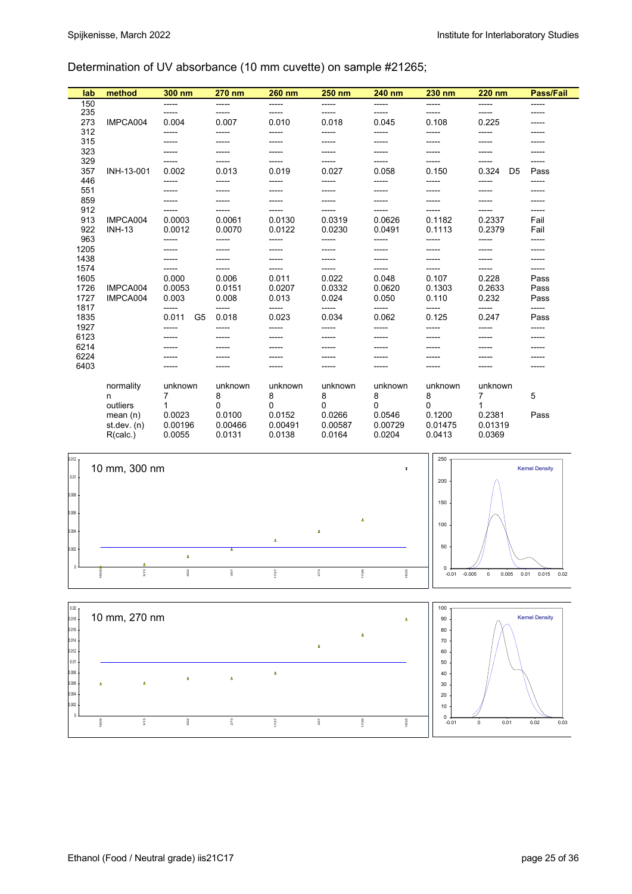## Determination of UV absorbance (10 mm cuvette) on sample #21265;

| lab  | method        | 300 nm                  | 270 nm  | 260 nm   | <b>250 nm</b> | 240 nm  | 230 nm  | 220 nm                  | Pass/Fail |
|------|---------------|-------------------------|---------|----------|---------------|---------|---------|-------------------------|-----------|
| 150  |               | -----                   | -----   | -----    | -----         | -----   | -----   | -----                   | -----     |
| 235  |               | -----                   | -----   | ------   | -----         | -----   | -----   | -----                   | -----     |
| 273  | IMPCA004      | 0.004                   | 0.007   | 0.010    | 0.018         | 0.045   | 0.108   | 0.225                   | -----     |
| 312  |               | -----                   | -----   | -----    | -----         | -----   | -----   | -----                   | -----     |
| 315  |               | -----                   | -----   | -----    |               |         | -----   |                         |           |
| 323  |               |                         |         |          |               |         |         |                         |           |
| 329  |               | -----                   | -----   |          |               | -----   | -----   |                         | -----     |
| 357  | INH-13-001    | 0.002                   | 0.013   | 0.019    | 0.027         | 0.058   | 0.150   | 0.324<br>D <sub>5</sub> | Pass      |
| 446  |               | -----                   | -----   | ------   |               | -----   | -----   | ------                  | -----     |
| 551  |               |                         | -----   | -----    |               |         |         |                         | -----     |
| 859  |               |                         |         |          |               |         |         |                         |           |
| 912  |               |                         |         |          |               |         |         |                         | -----     |
| 913  | IMPCA004      | 0.0003                  | 0.0061  | 0.0130   | 0.0319        | 0.0626  | 0.1182  | 0.2337                  | Fail      |
| 922  | <b>INH-13</b> | 0.0012                  | 0.0070  | 0.0122   | 0.0230        | 0.0491  | 0.1113  | 0.2379                  | Fail      |
| 963  |               | -----                   | -----   | -----    | -----         | -----   | -----   | -----                   | -----     |
| 1205 |               |                         |         |          |               |         |         |                         |           |
| 1438 |               |                         |         |          |               |         | -----   |                         |           |
| 1574 |               | -----                   |         |          |               | -----   | -----   |                         | -----     |
| 1605 |               | 0.000                   | 0.006   | 0.011    | 0.022         | 0.048   | 0.107   | 0.228                   | Pass      |
| 1726 | IMPCA004      | 0.0053                  | 0.0151  | 0.0207   | 0.0332        | 0.0620  | 0.1303  | 0.2633                  | Pass      |
| 1727 | IMPCA004      | 0.003                   | 0.008   | 0.013    | 0.024         | 0.050   | 0.110   | 0.232                   | Pass      |
| 1817 |               | -----                   | -----   | -----    | -----         | -----   | -----   | -----                   | -----     |
| 1835 |               | 0.011<br>G <sub>5</sub> | 0.018   | 0.023    | 0.034         | 0.062   | 0.125   | 0.247                   | Pass      |
| 1927 |               | -----                   | ------  | ------   | -----         | -----   | -----   | -----                   | -----     |
| 6123 |               |                         |         |          |               |         |         |                         |           |
| 6214 |               |                         |         |          |               |         |         |                         |           |
| 6224 |               |                         |         |          |               |         |         |                         |           |
| 6403 |               |                         | -----   |          |               |         |         |                         |           |
|      |               |                         |         |          |               |         |         |                         |           |
|      | normality     | unknown                 | unknown | unknown  | unknown       | unknown | unknown | unknown                 |           |
|      | n             | 7                       | 8       | 8        | 8             | 8       | 8       | 7                       | 5         |
|      | outliers      |                         | 0       | $\Omega$ | 0             | 0       | 0       |                         |           |
|      | mean $(n)$    | 0.0023                  | 0.0100  | 0.0152   | 0.0266        | 0.0546  | 0.1200  | 0.2381                  | Pass      |
|      | st. dev. (n)  | 0.00196                 | 0.00466 | 0.00491  | 0.00587       | 0.00729 | 0.01475 | 0.01319                 |           |
|      | R(calc.)      | 0.0055                  | 0.0131  | 0.0138   | 0.0164        | 0.0204  | 0.0413  | 0.0369                  |           |



357

1726

1835



913

l,

922

273

1727

 $\overline{0}$ 0.002 0.004  $006$ 

1605

 $-0.01$  0.02 0.03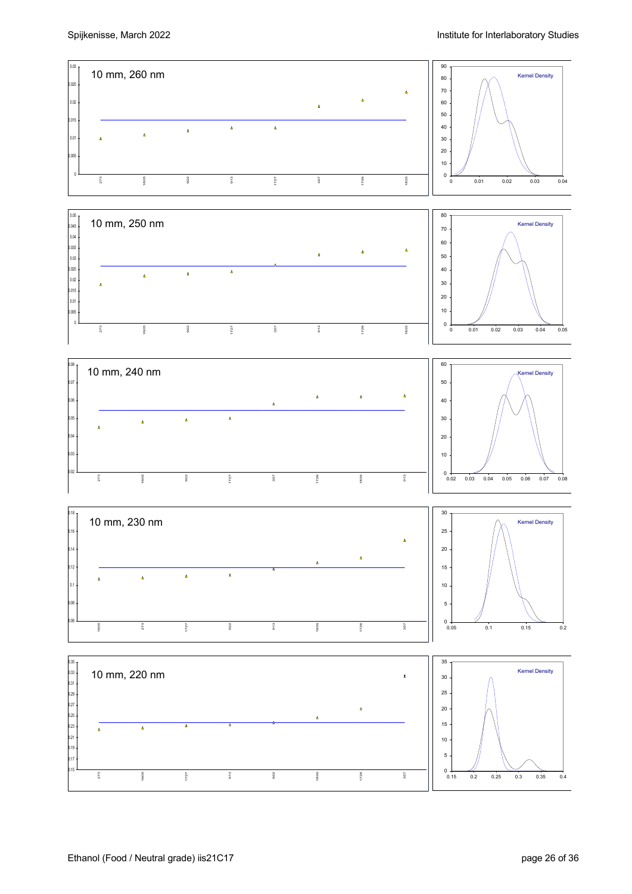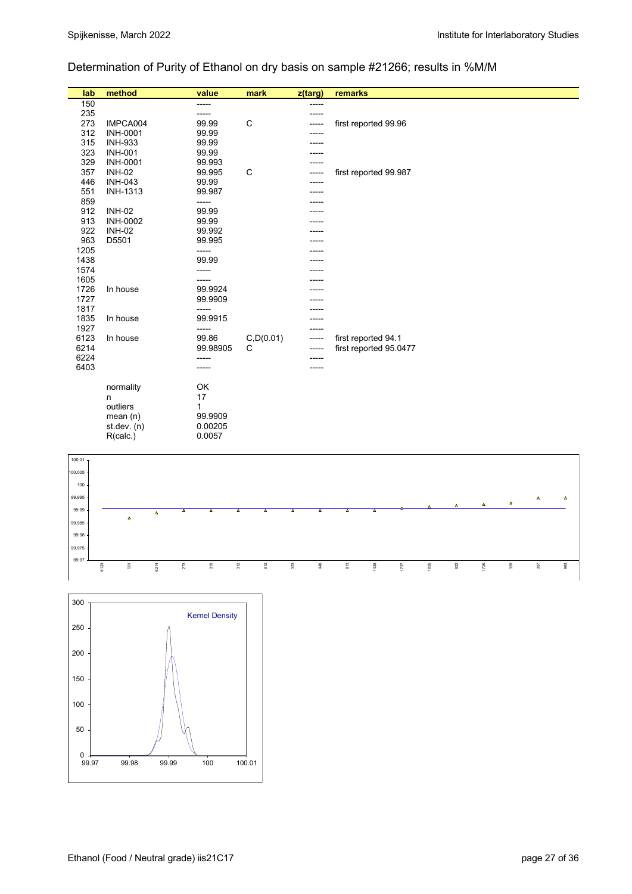## Determination of Purity of Ethanol on dry basis on sample #21266; results in %M/M

| lab  | method          | value    | mark       | z(targ) | remarks                |
|------|-----------------|----------|------------|---------|------------------------|
| 150  |                 | ------   |            | -----   |                        |
| 235  |                 | ------   |            | -----   |                        |
| 273  | IMPCA004        | 99.99    | C          |         | first reported 99.96   |
| 312  | <b>INH-0001</b> | 99.99    |            |         |                        |
| 315  | <b>INH-933</b>  | 99.99    |            |         |                        |
| 323  | <b>INH-001</b>  | 99.99    |            |         |                        |
| 329  | <b>INH-0001</b> | 99.993   |            |         |                        |
| 357  | <b>INH-02</b>   | 99.995   | C          |         | first reported 99.987  |
| 446  | <b>INH-043</b>  | 99.99    |            |         |                        |
| 551  | <b>INH-1313</b> | 99.987   |            |         |                        |
| 859  |                 | -----    |            |         |                        |
| 912  | <b>INH-02</b>   | 99.99    |            |         |                        |
| 913  | <b>INH-0002</b> | 99.99    |            |         |                        |
| 922  | <b>INH-02</b>   | 99.992   |            |         |                        |
| 963  | D5501           | 99.995   |            |         |                        |
| 1205 |                 | -----    |            |         |                        |
| 1438 |                 | 99.99    |            |         |                        |
| 1574 |                 | -----    |            |         |                        |
| 1605 |                 |          |            |         |                        |
| 1726 | In house        | 99.9924  |            |         |                        |
| 1727 |                 | 99.9909  |            |         |                        |
| 1817 |                 | -----    |            |         |                        |
| 1835 | In house        | 99.9915  |            |         |                        |
| 1927 |                 | -----    |            |         |                        |
| 6123 | In house        | 99.86    | C, D(0.01) | -----   | first reported 94.1    |
| 6214 |                 | 99.98905 | C          | -----   | first reported 95.0477 |
| 6224 |                 | -----    |            | -----   |                        |
| 6403 |                 | -----    |            | -----   |                        |
|      |                 |          |            |         |                        |
|      | normality       | OK       |            |         |                        |
|      | n               | 17       |            |         |                        |
|      | outliers        | 1        |            |         |                        |
|      | mean $(n)$      | 99.9909  |            |         |                        |
|      | st. dev. (n)    | 0.00205  |            |         |                        |
|      | R(calc.)        | 0.0057   |            |         |                        |



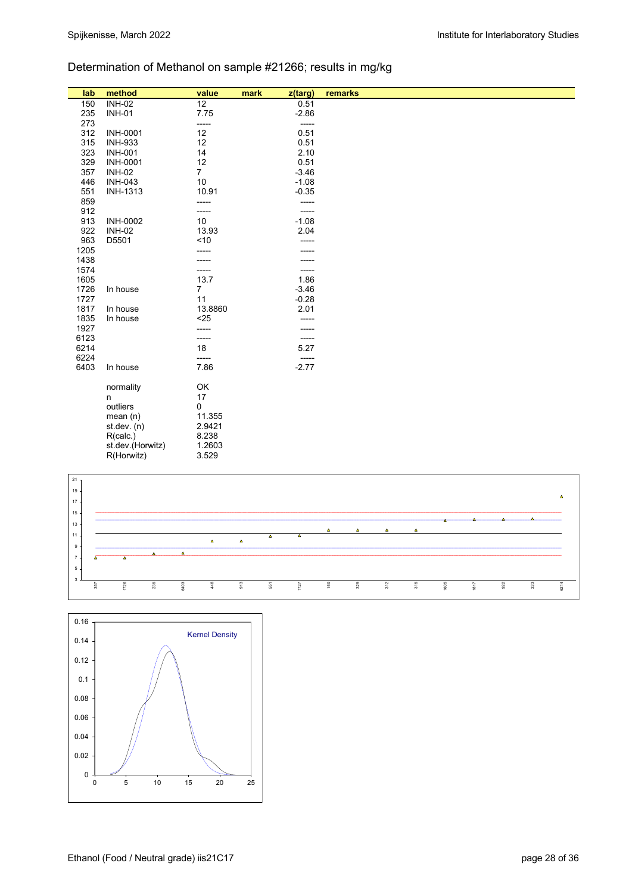## Determination of Methanol on sample #21266; results in mg/kg

| lab             | method                           | value                | mark<br>z(targ)    | remarks |
|-----------------|----------------------------------|----------------------|--------------------|---------|
| 150             | <b>INH-02</b>                    | 12                   | 0.51               |         |
| 235             | <b>INH-01</b>                    | 7.75                 | $-2.86$            |         |
| 273             |                                  | -----                | $-----$            |         |
| 312             | <b>INH-0001</b>                  | 12                   | 0.51               |         |
| 315             | <b>INH-933</b>                   | 12                   | 0.51               |         |
| 323             | <b>INH-001</b>                   | 14                   | 2.10               |         |
| 329<br>357      | <b>INH-0001</b><br><b>INH-02</b> | 12<br>$\overline{7}$ | 0.51<br>$-3.46$    |         |
| 446             | <b>INH-043</b>                   | 10                   | $-1.08$            |         |
| 551             | <b>INH-1313</b>                  | 10.91                | $-0.35$            |         |
| 859             |                                  | -----                | -----              |         |
| 912             |                                  | -----                | -----              |         |
| 913             | <b>INH-0002</b>                  | 10                   | $-1.08$            |         |
| 922             | <b>INH-02</b>                    | 13.93                | 2.04               |         |
| 963             | D5501                            | ~10                  | -----              |         |
| 1205            |                                  | -----                |                    |         |
| 1438            |                                  |                      |                    |         |
| 1574            |                                  |                      | -----              |         |
| 1605            |                                  | 13.7                 | 1.86               |         |
| 1726            | In house                         | $\overline{7}$       | $-3.46$            |         |
| 1727            |                                  | 11                   | $-0.28$            |         |
| 1817            | In house                         | 13.8860              | 2.01               |         |
| 1835            | In house                         | $25$                 | -----              |         |
| 1927            |                                  | -----                | -----              |         |
| 6123            |                                  | -----                | -----              |         |
| 6214            |                                  | 18<br>$---$          | 5.27               |         |
| 6224<br>6403    | In house                         | 7.86                 | $-----$<br>$-2.77$ |         |
|                 |                                  |                      |                    |         |
|                 | normality                        | OK                   |                    |         |
|                 | n                                | 17                   |                    |         |
|                 | outliers                         | 0                    |                    |         |
|                 | mean $(n)$                       | 11.355               |                    |         |
|                 | st. dev. (n)                     | 2.9421               |                    |         |
|                 | R(calc.)                         | 8.238                |                    |         |
|                 | st.dev.(Horwitz)                 | 1.2603               |                    |         |
|                 | R(Horwitz)                       | 3.529                |                    |         |
|                 |                                  |                      |                    |         |
| 21 <sub>T</sub> |                                  |                      |                    |         |



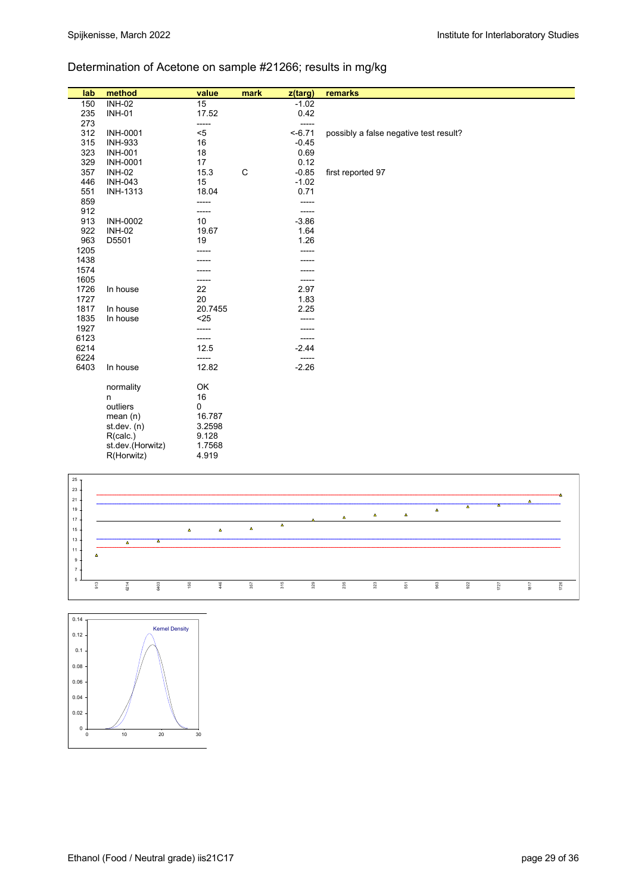## Determination of Acetone on sample #21266; results in mg/kg

| lab          | method           | value         | mark | z(targ)   | remarks                                |
|--------------|------------------|---------------|------|-----------|----------------------------------------|
| 150          | <b>INH-02</b>    | 15            |      | $-1.02$   |                                        |
| 235          | <b>INH-01</b>    | 17.52         |      | 0.42      |                                        |
| 273          |                  | -----         |      | -----     |                                        |
| 312          | <b>INH-0001</b>  | $< 5$         |      | $< -6.71$ | possibly a false negative test result? |
| 315          | <b>INH-933</b>   | 16            |      | $-0.45$   |                                        |
| 323          | <b>INH-001</b>   | 18            |      | 0.69      |                                        |
| 329          | <b>INH-0001</b>  | 17            |      | 0.12      |                                        |
| 357          | <b>INH-02</b>    | 15.3          | C    | $-0.85$   | first reported 97                      |
| 446          | <b>INH-043</b>   | 15            |      | $-1.02$   |                                        |
| 551          | <b>INH-1313</b>  | 18.04         |      | 0.71      |                                        |
| 859          |                  | -----         |      | -----     |                                        |
| 912          |                  | -----         |      | -----     |                                        |
| 913          | <b>INH-0002</b>  | 10            |      | $-3.86$   |                                        |
| 922          | <b>INH-02</b>    | 19.67         |      | 1.64      |                                        |
| 963          | D5501            | 19            |      | 1.26      |                                        |
| 1205         |                  |               |      | -----     |                                        |
| 1438         |                  |               |      |           |                                        |
| 1574         |                  |               |      |           |                                        |
| 1605         |                  |               |      | -----     |                                        |
| 1726         | In house         | 22            |      | 2.97      |                                        |
| 1727         |                  | 20            |      | 1.83      |                                        |
| 1817         | In house         | 20.7455       |      | 2.25      |                                        |
| 1835         | In house         | $25$          |      |           |                                        |
| 1927         |                  | -----         |      | -----     |                                        |
| 6123<br>6214 |                  | -----<br>12.5 |      | $-2.44$   |                                        |
| 6224         |                  |               |      | -----     |                                        |
| 6403         | In house         | 12.82         |      | $-2.26$   |                                        |
|              |                  |               |      |           |                                        |
|              | normality        | OK            |      |           |                                        |
|              | n                | 16            |      |           |                                        |
|              | outliers         | 0             |      |           |                                        |
|              | mean $(n)$       | 16.787        |      |           |                                        |
|              | st. dev. (n)     | 3.2598        |      |           |                                        |
|              | R(calc.)         | 9.128         |      |           |                                        |
|              | st.dev.(Horwitz) | 1.7568        |      |           |                                        |
|              | R(Horwitz)       | 4.919         |      |           |                                        |



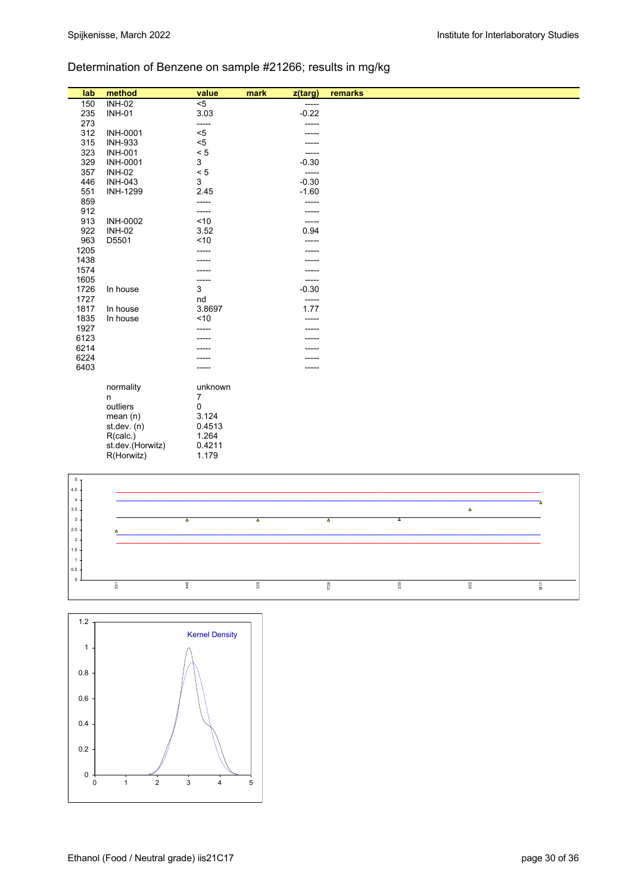## Determination of Benzene on sample #21266; results in mg/kg

| lab            | method           | value                   | mark             | z(targ) | remarks                                                 |
|----------------|------------------|-------------------------|------------------|---------|---------------------------------------------------------|
| 150            | <b>INH-02</b>    | $< 5$                   |                  | -----   |                                                         |
| 235            | <b>INH-01</b>    | 3.03                    |                  | $-0.22$ |                                                         |
| 273            |                  | -----                   |                  | -----   |                                                         |
| 312            | <b>INH-0001</b>  | $< 5$                   |                  | -----   |                                                         |
| 315            | <b>INH-933</b>   | $5$                     |                  | -----   |                                                         |
| 323            | <b>INH-001</b>   | $< 5$                   |                  | -----   |                                                         |
| 329            | <b>INH-0001</b>  | $\mathbf{3}$            |                  | $-0.30$ |                                                         |
| 357            | <b>INH-02</b>    | < 5                     |                  | -----   |                                                         |
| 446            | <b>INH-043</b>   | $\mathfrak{S}$          |                  | $-0.30$ |                                                         |
| 551            | INH-1299         | 2.45                    |                  | $-1.60$ |                                                         |
| 859            |                  | -----                   |                  | -----   |                                                         |
| 912            |                  | -----                   |                  | -----   |                                                         |
| 913            | <b>INH-0002</b>  | $<10$                   |                  | -----   |                                                         |
| 922            | <b>INH-02</b>    | 3.52                    |                  | 0.94    |                                                         |
| 963            | D5501            | ~10                     |                  |         |                                                         |
| 1205           |                  |                         |                  |         |                                                         |
| 1438           |                  | -----                   |                  |         |                                                         |
| 1574           |                  |                         |                  |         |                                                         |
|                |                  |                         |                  |         |                                                         |
| 1605           |                  | -----                   |                  | -----   |                                                         |
| 1726           | In house         | $\mathfrak{S}$          |                  | $-0.30$ |                                                         |
| 1727           |                  | nd                      |                  |         |                                                         |
| 1817           | In house         | 3.8697                  |                  | 1.77    |                                                         |
| 1835           | In house         | ~10                     |                  | -----   |                                                         |
| 1927           |                  | -----                   |                  |         |                                                         |
| 6123           |                  |                         |                  |         |                                                         |
| 6214           |                  |                         |                  |         |                                                         |
| 6224           |                  |                         |                  |         |                                                         |
| 6403           |                  |                         |                  |         |                                                         |
|                | normality        | unknown                 |                  |         |                                                         |
|                | n                | 7                       |                  |         |                                                         |
|                | outliers         | 0                       |                  |         |                                                         |
|                | mean(n)          | 3.124                   |                  |         |                                                         |
|                | st. dev. (n)     | 0.4513                  |                  |         |                                                         |
|                | R(calc.)         | 1.264                   |                  |         |                                                         |
|                | st.dev.(Horwitz) | 0.4211                  |                  |         |                                                         |
|                | R(Horwitz)       | 1.179                   |                  |         |                                                         |
|                |                  |                         |                  |         |                                                         |
| $5 -$          |                  |                         |                  |         |                                                         |
| $4.5\,$        |                  |                         |                  |         |                                                         |
| $\overline{4}$ |                  |                         |                  |         |                                                         |
| $3.5\,$        |                  |                         |                  |         | $\Delta$                                                |
| $\mathbf 3$    |                  | $\overline{\mathbf{A}}$ | $\blacktriangle$ |         | $\overline{\phantom{a}}$<br>$\overline{\blacktriangle}$ |
| $2.5 -$        |                  |                         |                  |         |                                                         |



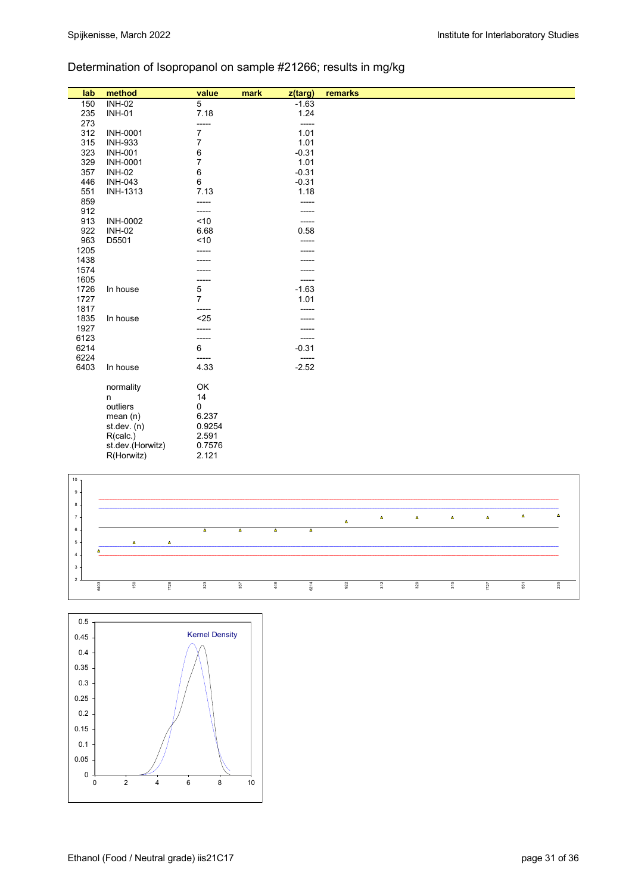## Determination of Isopropanol on sample #21266; results in mg/kg

| lab             | method           | value          | mark | z(targ) | remarks |
|-----------------|------------------|----------------|------|---------|---------|
| 150             | <b>INH-02</b>    | 5              |      | $-1.63$ |         |
| 235             | <b>INH-01</b>    | 7.18           |      | 1.24    |         |
| 273             |                  | -----          |      | -----   |         |
| 312             | <b>INH-0001</b>  | 7              |      | 1.01    |         |
| 315             | <b>INH-933</b>   | 7              |      | 1.01    |         |
| 323             | <b>INH-001</b>   | 6              |      | $-0.31$ |         |
| 329             | <b>INH-0001</b>  | $\overline{7}$ |      | 1.01    |         |
| 357             | <b>INH-02</b>    | 6              |      | $-0.31$ |         |
| 446             | <b>INH-043</b>   | 6              |      | $-0.31$ |         |
| 551             | <b>INH-1313</b>  | 7.13           |      | 1.18    |         |
| 859             |                  | -----          |      | -----   |         |
| 912             |                  | -----          |      |         |         |
| 913             | <b>INH-0002</b>  | ~10            |      | -----   |         |
| 922             | <b>INH-02</b>    | 6.68           |      | 0.58    |         |
| 963             | D5501            | ~10            |      |         |         |
| 1205            |                  |                |      |         |         |
| 1438            |                  |                |      |         |         |
| 1574            |                  |                |      |         |         |
| 1605            |                  | -----          |      | -----   |         |
| 1726            | In house         | 5              |      | $-1.63$ |         |
| 1727            |                  | $\overline{7}$ |      | 1.01    |         |
| 1817            |                  | -----          |      |         |         |
| 1835            | In house         | $25$           |      |         |         |
| 1927            |                  |                |      |         |         |
| 6123            |                  | -----          |      | -----   |         |
| 6214            |                  | 6              |      | $-0.31$ |         |
| 6224            |                  | -----          |      | -----   |         |
| 6403            | In house         | 4.33           |      | $-2.52$ |         |
|                 | normality        | OK             |      |         |         |
|                 | n                | 14             |      |         |         |
|                 | outliers         | 0              |      |         |         |
|                 | mean(n)          | 6.237          |      |         |         |
|                 | st.dev. (n)      | 0.9254         |      |         |         |
|                 | R(calc.)         | 2.591          |      |         |         |
|                 | st.dev.(Horwitz) | 0.7576         |      |         |         |
|                 | R(Horwitz)       | 2.121          |      |         |         |
|                 |                  |                |      |         |         |
| 10 <sub>7</sub> |                  |                |      |         |         |
| $9+$            |                  |                |      |         |         |



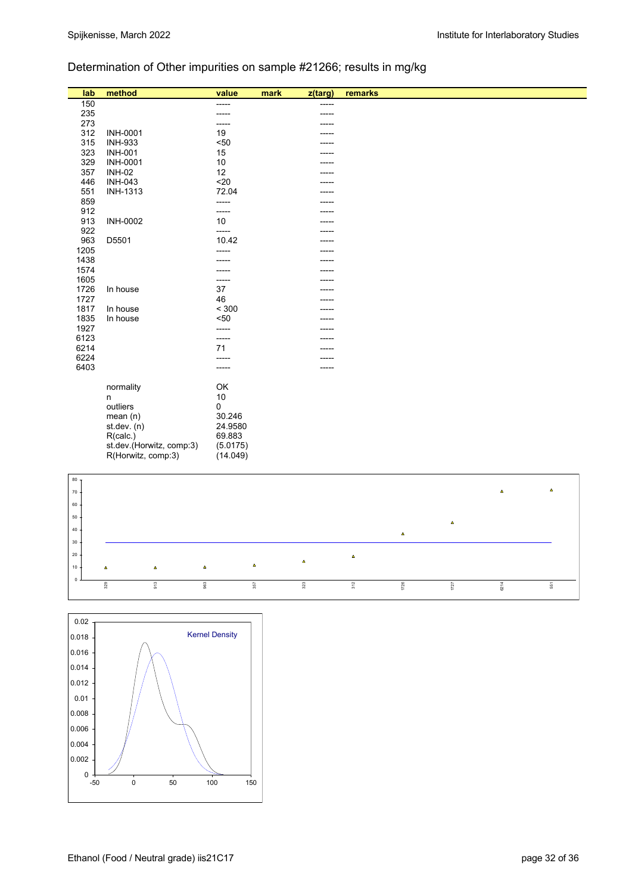# Determination of Other impurities on sample #21266; results in mg/kg

| lab             | method                           | value          | mark | $\overline{z$ (targ) | remarks                    |
|-----------------|----------------------------------|----------------|------|----------------------|----------------------------|
| 150             |                                  | $---$          |      | -----                |                            |
| 235             |                                  |                |      |                      |                            |
| 273             |                                  |                |      |                      |                            |
| 312             | <b>INH-0001</b>                  | 19             |      |                      |                            |
| 315             | <b>INH-933</b>                   | $50$           |      |                      |                            |
| 323             | <b>INH-001</b>                   | 15             |      |                      |                            |
| 329<br>357      | <b>INH-0001</b><br><b>INH-02</b> | $10$<br>12     |      |                      |                            |
| 446             | <b>INH-043</b>                   | $20$           |      |                      |                            |
| 551             | <b>INH-1313</b>                  | 72.04          |      |                      |                            |
| 859             |                                  | -----          |      |                      |                            |
| 912             |                                  |                |      |                      |                            |
| 913             | INH-0002                         | 10             |      |                      |                            |
| 922             |                                  | -----          |      |                      |                            |
| 963             | D5501                            | 10.42          |      |                      |                            |
| 1205            |                                  | -----          |      |                      |                            |
| 1438            |                                  |                |      |                      |                            |
| 1574            |                                  |                |      |                      |                            |
| 1605            |                                  | -----          |      |                      |                            |
| 1726            | In house                         | 37             |      |                      |                            |
| 1727            |                                  | 46             |      |                      |                            |
| 1817            | In house                         | $< 300$        |      |                      |                            |
| 1835<br>1927    | In house                         | $50$           |      |                      |                            |
| 6123            |                                  | -----<br>----- |      |                      |                            |
| 6214            |                                  | 71             |      |                      |                            |
| 6224            |                                  |                |      |                      |                            |
| 6403            |                                  | -----          |      |                      |                            |
|                 |                                  |                |      |                      |                            |
|                 | normality                        | OK             |      |                      |                            |
|                 | n                                | $10$           |      |                      |                            |
|                 | outliers                         | 0              |      |                      |                            |
|                 | mean(n)                          | 30.246         |      |                      |                            |
|                 | st.dev. (n)                      | 24.9580        |      |                      |                            |
|                 | R(calc.)                         | 69.883         |      |                      |                            |
|                 | st.dev.(Horwitz, comp.3)         | (5.0175)       |      |                      |                            |
|                 | R(Horwitz, comp:3)               | (14.049)       |      |                      |                            |
|                 |                                  |                |      |                      |                            |
| 80 <sub>7</sub> |                                  |                |      |                      |                            |
| $70\,$          |                                  |                |      |                      | $\pmb{\Delta}$<br>$\Delta$ |
| 60              |                                  |                |      |                      |                            |
|                 |                                  |                |      |                      |                            |
| $50\,$          |                                  |                |      |                      | $\Delta$                   |
| 40              |                                  |                |      |                      | $\pmb{\Delta}$             |
| $30 -$          |                                  |                |      |                      |                            |



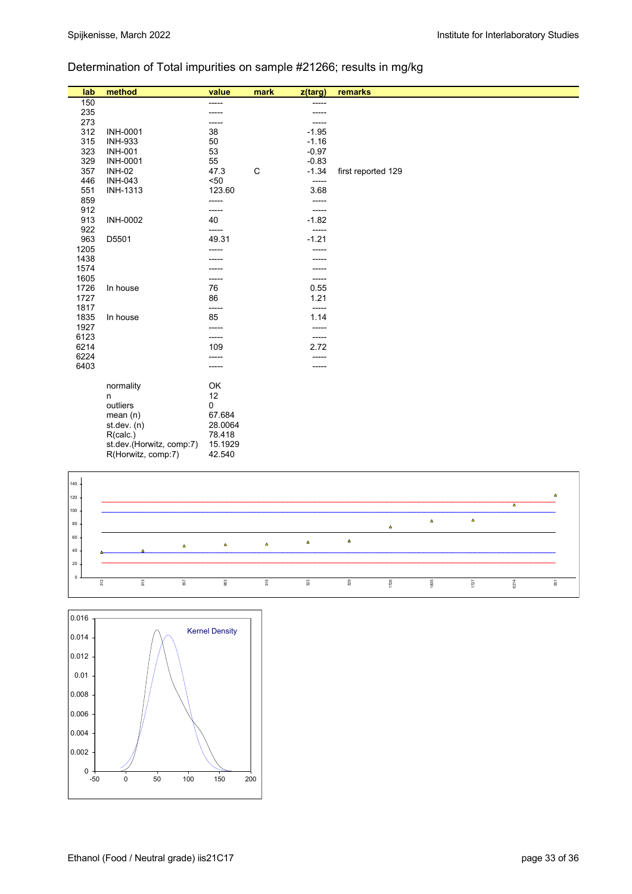## Determination of Total impurities on sample #21266; results in mg/kg

| lab          | method                   | value    | mark | z(targ)      | remarks            |
|--------------|--------------------------|----------|------|--------------|--------------------|
| 150          |                          | -----    |      | -----        |                    |
| 235          |                          | -----    |      |              |                    |
| 273          |                          | -----    |      | -----        |                    |
| 312          | <b>INH-0001</b>          | 38       |      | $-1.95$      |                    |
| 315          | <b>INH-933</b>           | 50       |      | $-1.16$      |                    |
| 323          | <b>INH-001</b>           | 53       |      | $-0.97$      |                    |
| 329          | <b>INH-0001</b>          | 55       |      | $-0.83$      |                    |
| 357          | <b>INH-02</b>            | 47.3     | C    | $-1.34$      | first reported 129 |
| 446          | <b>INH-043</b>           | $50$     |      | -----        |                    |
| 551          | <b>INH-1313</b>          | 123.60   |      | 3.68         |                    |
| 859          |                          | -----    |      | -----        |                    |
| 912          |                          | -----    |      | -----        |                    |
| 913          | <b>INH-0002</b>          | 40       |      | $-1.82$      |                    |
| 922          |                          | $---$    |      | $-----$      |                    |
| 963          | D5501                    | 49.31    |      | $-1.21$      |                    |
| 1205         |                          | -----    |      |              |                    |
| 1438         |                          |          |      |              |                    |
| 1574         |                          |          |      |              |                    |
| 1605         |                          |          |      |              |                    |
| 1726<br>1727 | In house                 | 76<br>86 |      | 0.55<br>1.21 |                    |
| 1817         |                          | -----    |      | -----        |                    |
| 1835         | In house                 | 85       |      | 1.14         |                    |
| 1927         |                          | -----    |      | -----        |                    |
| 6123         |                          | -----    |      | -----        |                    |
| 6214         |                          | 109      |      | 2.72         |                    |
| 6224         |                          | -----    |      | -----        |                    |
| 6403         |                          |          |      |              |                    |
|              |                          |          |      |              |                    |
|              | normality                | OK       |      |              |                    |
|              | n                        | 12       |      |              |                    |
|              | outliers                 | 0        |      |              |                    |
|              | mean $(n)$               | 67.684   |      |              |                    |
|              | st.dev. (n)              | 28.0064  |      |              |                    |
|              | R(calc.)                 | 78.418   |      |              |                    |
|              | st.dev.(Horwitz, comp:7) | 15.1929  |      |              |                    |
|              | R(Horwitz, comp:7)       | 42.540   |      |              |                    |
|              |                          |          |      |              |                    |
| $140 +$      |                          |          |      |              |                    |



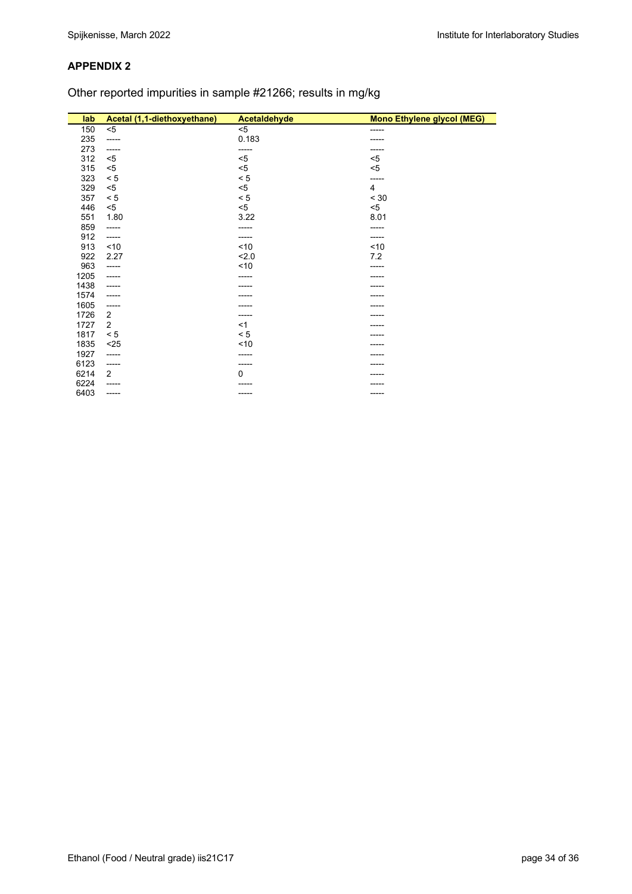Other reported impurities in sample #21266; results in mg/kg

| lab  | Acetal (1,1-diethoxyethane) | Acetaldehyde | <b>Mono Ethylene glycol (MEG)</b> |
|------|-----------------------------|--------------|-----------------------------------|
| 150  | $5$                         | $5$          | -----                             |
| 235  | -----                       | 0.183        |                                   |
| 273  | -----                       | -----        |                                   |
| 312  | $5$                         | $5$          | $5$                               |
| 315  | $5$                         | $< 5$        | $5$                               |
| 323  | < 5                         | $< 5\,$      | -----                             |
| 329  | $5$                         | $5$          | $\overline{4}$                    |
| 357  | < 5                         | < 5          | < 30                              |
| 446  | $5$                         | $5$          | $<$ 5                             |
| 551  | 1.80                        | 3.22         | 8.01                              |
| 859  | -----                       | -----        |                                   |
| 912  | -----                       | -----        | -----                             |
| 913  | ~10                         | ~10          | < 10                              |
| 922  | 2.27                        | 2.0          | 7.2                               |
| 963  | -----                       | ~10          |                                   |
| 1205 | -----                       | -----        |                                   |
| 1438 | -----                       |              |                                   |
| 1574 | -----                       |              |                                   |
| 1605 | -----                       |              |                                   |
| 1726 | $\overline{2}$              | -----        |                                   |
| 1727 | 2                           | <1           |                                   |
| 1817 | < 5                         | < 5          |                                   |
| 1835 | $25$                        | ~10          |                                   |
| 1927 | -----                       |              |                                   |
| 6123 | -----                       | -----        |                                   |
| 6214 | 2                           | $\Omega$     |                                   |
| 6224 | -----                       | -----        |                                   |
| 6403 | -----                       | -----        |                                   |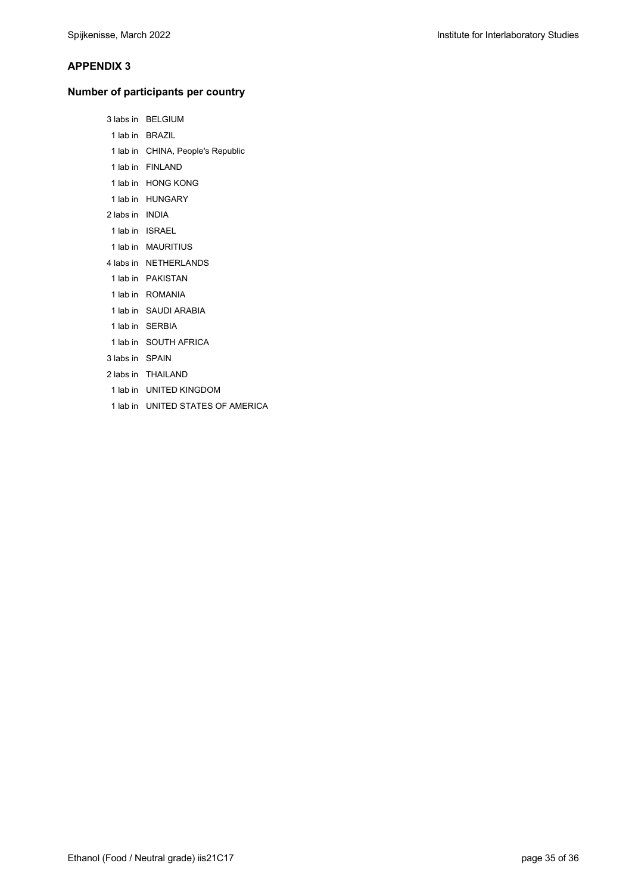## **Number of participants per country**

| 3 labs in       | <b>BELGIUM</b>                    |
|-----------------|-----------------------------------|
|                 | 1 lab in BRAZIL                   |
|                 | 1 lab in CHINA, People's Republic |
|                 | 1 lab in FINI AND                 |
|                 | 1 lab in HONG KONG                |
|                 | 1 lab in HUNGARY                  |
| 2 labs in INDIA |                                   |
|                 | 1 lab in ISRAEL                   |
|                 | 1 lab in MAURITIUS                |
|                 | 4 labs in NETHERLANDS             |
|                 | 1 lab in PAKISTAN                 |
|                 | 1 lab in ROMANIA                  |
|                 | 1 lab in SAUDI ARABIA             |
|                 | 1 lab in SERBIA                   |
|                 | 1 lab in SOUTH AFRICA             |
| 3 labs in SPAIN |                                   |
|                 | 2 labs in THAILAND                |
|                 | 1 lab in UNITED KINGDOM           |
|                 | 1 lab in UNITED STATES OF AMERICA |
|                 |                                   |